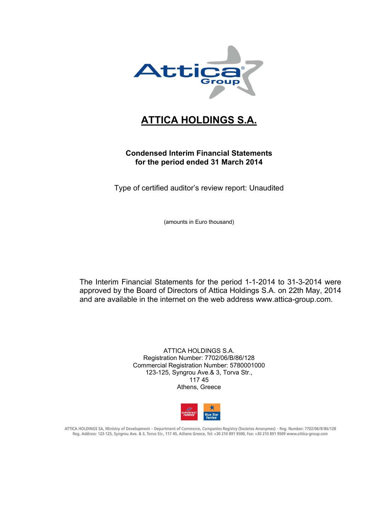

# **ATTICA HOLDINGS S.A.**

# **Condensed Interim Financial Statements for the period ended 31 March 2014**

Type of certified auditor's review report: Unaudited

(amounts in Euro thousand)

The Interim Financial Statements for the period 1-1-2014 to 31-3-2014 were approved by the Board of Directors of Attica Holdings S.A. on 22th May, 2014 and are available in the internet on the web address www.attica-group.com.

> ATTICA HOLDINGS S.A. Registration Number: 7702/06/B/86/128 Commercial Registration Number: 5780001000 123-125, Syngrou Ave.& 3, Torva Str., 117 45 Athens, Greece



ATTICA HOLDINGS SA, Ministry of Development - Department of Commerce, Companies Registry (Societes Anonymes) - Reg. Number: 7702/06/B/86/128 Reg. Address: 123-125, Syngrou Ave. & 3, Torva Str., 117 45, Athens Greece, Tel: +30 210 891 9500, Fax: +30 210 891 9509 www.attica-group.com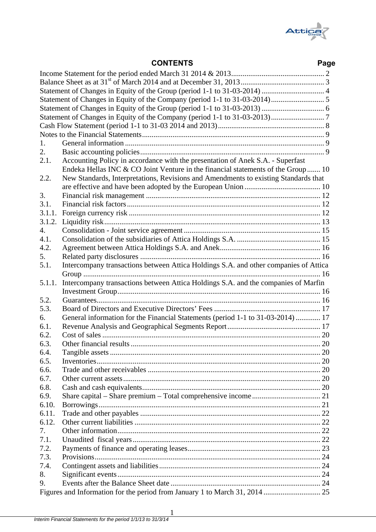

# **CONTENTS Page**

|        | Statement of Changes in Equity of the Group (period 1-1 to 31-03-2014)  4            |     |
|--------|--------------------------------------------------------------------------------------|-----|
|        |                                                                                      |     |
|        |                                                                                      |     |
|        |                                                                                      |     |
|        |                                                                                      |     |
|        |                                                                                      |     |
| 1.     |                                                                                      |     |
| 2.     |                                                                                      |     |
| 2.1.   | Accounting Policy in accordance with the presentation of Anek S.A. - Superfast       |     |
|        | Endeka Hellas INC & CO Joint Venture in the financial statements of the Group 10     |     |
| 2.2.   | New Standards, Interpretations, Revisions and Amendments to existing Standards that  |     |
|        |                                                                                      |     |
| 3.     |                                                                                      |     |
| 3.1.   |                                                                                      |     |
| 3.1.1. |                                                                                      |     |
| 3.1.2. |                                                                                      |     |
| 4.     |                                                                                      |     |
| 4.1.   |                                                                                      |     |
|        |                                                                                      |     |
| 4.2.   |                                                                                      |     |
| 5.     |                                                                                      |     |
| 5.1.   | Intercompany transactions between Attica Holdings S.A. and other companies of Attica |     |
|        |                                                                                      |     |
| 5.1.1. | Intercompany transactions between Attica Holdings S.A. and the companies of Marfin   |     |
|        |                                                                                      |     |
| 5.2.   |                                                                                      |     |
| 5.3.   |                                                                                      |     |
| 6.     | General information for the Financial Statements (period 1-1 to 31-03-2014)  17      |     |
| 6.1.   |                                                                                      |     |
| 6.2.   |                                                                                      |     |
| 6.3.   |                                                                                      |     |
| 6.4.   |                                                                                      | .20 |
| 6.5.   |                                                                                      |     |
| 6.6.   |                                                                                      |     |
| 6.7.   |                                                                                      |     |
| 6.8.   |                                                                                      |     |
| 6.9.   |                                                                                      |     |
| 6.10.  |                                                                                      |     |
| 6.11.  |                                                                                      |     |
| 6.12.  |                                                                                      |     |
| 7.     |                                                                                      |     |
| 7.1.   |                                                                                      |     |
| 7.2.   |                                                                                      |     |
| 7.3.   |                                                                                      |     |
| 7.4.   |                                                                                      |     |
| 8.     |                                                                                      |     |
| 9.     |                                                                                      |     |
|        |                                                                                      |     |
|        |                                                                                      |     |

1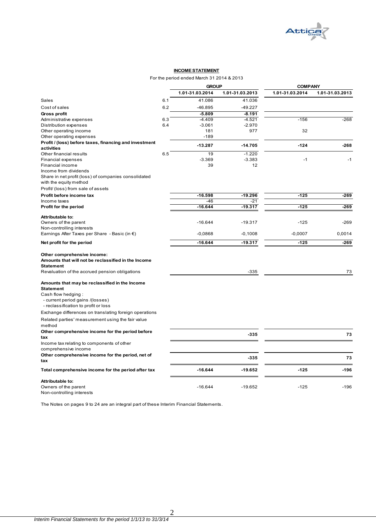

#### **INCOME STATEMENT**

#### For the period ended March 31 2014 & 2013

|                                                                    |     | <b>GROUP</b>    |                 | <b>COMPANY</b>  |                 |  |
|--------------------------------------------------------------------|-----|-----------------|-----------------|-----------------|-----------------|--|
|                                                                    |     | 1.01-31.03.2014 | 1.01-31.03.2013 | 1.01-31.03.2014 | 1.01-31.03.2013 |  |
| Sales                                                              | 6.1 | 41.086          | 41.036          |                 |                 |  |
| Cost of sales                                                      | 6.2 | $-46.895$       | $-49.227$       |                 |                 |  |
| Gross profit                                                       |     | $-5.809$        | $-8.191$        |                 |                 |  |
| Administrative expenses                                            | 6.3 | $-4.409$        | $-4.521$        | $-156$          | $-268$          |  |
| Distribution expenses                                              | 6.4 | $-3.061$        | $-2.970$        |                 |                 |  |
| Other operating income                                             |     | 181             | 977             | 32              |                 |  |
| Other operating expenses                                           |     | $-189$          |                 |                 |                 |  |
| Profit / (loss) before taxes, financing and investment             |     | $-13.287$       | $-14.705$       | $-124$          | $-268$          |  |
| activities                                                         |     |                 |                 |                 |                 |  |
| Other financial results                                            | 6.5 | 19              | $-1.220$        |                 |                 |  |
| <b>Financial expenses</b>                                          |     | $-3.369$        | $-3.383$        | $-1$            | $-1$            |  |
| Financial income                                                   |     | 39              | 12              |                 |                 |  |
| Income from dividends                                              |     |                 |                 |                 |                 |  |
| Share in net profit (loss) of companies consolidated               |     |                 |                 |                 |                 |  |
| with the equity method                                             |     |                 |                 |                 |                 |  |
| Profit/ (loss) from sale of assets                                 |     |                 |                 |                 |                 |  |
| Profit before income tax                                           |     | $-16.598$       | $-19.296$       | $-125$          | $-269$          |  |
| Income taxes                                                       |     | $-46$           | -21             |                 |                 |  |
| Profit for the period                                              |     | $-16.644$       | $-19.317$       | $-125$          | $-269$          |  |
| Attributable to:                                                   |     |                 |                 |                 |                 |  |
| Owners of the parent                                               |     | $-16.644$       | $-19.317$       | $-125$          | $-269$          |  |
| Non-controlling interests                                          |     |                 |                 |                 |                 |  |
| Earnings After Taxes per Share - Basic (in $\epsilon$ )            |     | $-0,0868$       | $-0,1008$       | $-0,0007$       | 0,0014          |  |
| Net profit for the period                                          |     | $-16.644$       | $-19.317$       | $-125$          | $-269$          |  |
|                                                                    |     |                 |                 |                 |                 |  |
| Other comprehensive income:                                        |     |                 |                 |                 |                 |  |
| Amounts that will not be reclassified in the Income                |     |                 |                 |                 |                 |  |
| <b>Statement</b>                                                   |     |                 |                 |                 |                 |  |
| Revaluation of the accrued pension obligations                     |     |                 | $-335$          |                 | 73              |  |
|                                                                    |     |                 |                 |                 |                 |  |
| Amounts that may be reclassified in the Income<br><b>Statement</b> |     |                 |                 |                 |                 |  |
| Cash flow hedging:                                                 |     |                 |                 |                 |                 |  |
| - current period gains /(losses)                                   |     |                 |                 |                 |                 |  |
| - reclassification to profit or loss                               |     |                 |                 |                 |                 |  |
| Exchange differences on translating foreign operations             |     |                 |                 |                 |                 |  |
|                                                                    |     |                 |                 |                 |                 |  |
| Related parties' measurement using the fair value<br>method        |     |                 |                 |                 |                 |  |
|                                                                    |     |                 |                 |                 |                 |  |
| Other comprehensive income for the period before<br>tax            |     |                 | $-335$          |                 | 73              |  |
|                                                                    |     |                 |                 |                 |                 |  |
| Income tax relating to components of other<br>comprehensive income |     |                 |                 |                 |                 |  |
|                                                                    |     |                 |                 |                 |                 |  |
| Other comprehensive income for the period, net of<br>tax           |     |                 | -335            |                 | 73              |  |
|                                                                    |     |                 |                 |                 |                 |  |
| Total comprehensive income for the period after tax                |     | $-16.644$       | $-19.652$       | $-125$          | $-196$          |  |
| <b>Attributable to:</b>                                            |     |                 |                 |                 |                 |  |
| Owners of the parent                                               |     | $-16.644$       | $-19.652$       | $-125$          | $-196$          |  |
| Non-controlling interests                                          |     |                 |                 |                 |                 |  |

The Notes on pages 9 to 24 are an integral part of these Interim Financial Statements.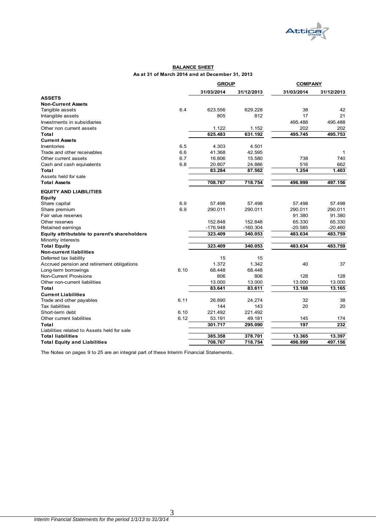

#### **BALANCE SHEET As at 31 of March 2014 and at December 31, 2013**

| 31/03/2014<br>31/03/2014<br>31/12/2013<br>31/12/2013<br><b>ASSETS</b><br><b>Non-Current Assets</b><br>6.4<br>623.556<br>629.228<br>38<br>42<br>Tangible assets<br>805<br>17<br>Intangible assets<br>812<br>21<br>Investments in subsidiaries<br>495.488<br>495.488<br>1.122<br>202<br>1.152<br>202<br>Other non current assets<br>625.483<br>631.192<br>495.745<br>495.753<br>Total<br><b>Current Assets</b><br>6.5<br>4.303<br>Inventories<br>4.501<br>6.6<br>Trade and other receivables<br>41.368<br>42.595<br>1<br>6.7<br>15.580<br>738<br>740<br>Other current assets<br>16.806<br>6.8<br>20.807<br>24.886<br>516<br>662<br>Cash and cash equivalents<br>1.254<br>83.284<br>87.562<br>1.403<br>Total<br>Assets held for sale<br>708.767<br>718.754<br>497.156<br><b>Total Assets</b><br>496.999<br><b>EQUITY AND LIABILITIES</b><br><b>Equity</b><br>6.9<br>57.498<br>Share capital<br>57.498<br>57.498<br>57.498<br>6.9<br>290.011<br>290.011<br>290.011<br>290.011<br>Share premium<br>91.380<br>91.380<br>Fair value reserves<br>152.848<br>152.848<br>65.330<br>65.330<br>Other reserves<br>$-176.948$<br>$-160.304$<br>$-20.585$<br>$-20.460$<br>Retained earnings<br>340.053<br>483.759<br>323.409<br>483.634<br>Equity attributable to parent's shareholders<br>Minority interests<br>483.759<br>323.409<br>340.053<br>483.634<br><b>Total Equity</b><br><b>Non-current liabilities</b><br>15<br>Deferred tax liability<br>15<br>1.372<br>1.342<br>40<br>37<br>Accrued pension and retirement obligations<br>6.10<br>Long-term borrowings<br>68.448<br>68.448<br><b>Non-Current Provisions</b><br>806<br>806<br>128<br>128<br>13.000<br>13.000<br>13.000<br>Other non-current liabilities<br>13.000<br>83.641<br>83.611<br>13.168<br>Total<br>13.165<br><b>Current Liabilities</b><br>6.11<br>26.890<br>24.274<br>32<br>38<br>Trade and other payables<br>144<br>20<br>20<br><b>Tax liabilities</b><br>143<br>Short-term debt<br>6.10<br>221.492<br>221.492<br>Other current liabilities<br>6.12<br>53.191<br>49.181<br>145<br>174<br>197<br>301.717<br>232<br>Total<br>295.090<br>Liabilities related to Assets held for sale<br>385.358<br>378.701<br><b>Total liabilities</b><br>13.365<br>13.397<br>708.767<br>718.754<br>496.999<br>497.156<br><b>Total Equity and Liabilities</b> |  | <b>GROUP</b> | <b>COMPANY</b> |  |
|-----------------------------------------------------------------------------------------------------------------------------------------------------------------------------------------------------------------------------------------------------------------------------------------------------------------------------------------------------------------------------------------------------------------------------------------------------------------------------------------------------------------------------------------------------------------------------------------------------------------------------------------------------------------------------------------------------------------------------------------------------------------------------------------------------------------------------------------------------------------------------------------------------------------------------------------------------------------------------------------------------------------------------------------------------------------------------------------------------------------------------------------------------------------------------------------------------------------------------------------------------------------------------------------------------------------------------------------------------------------------------------------------------------------------------------------------------------------------------------------------------------------------------------------------------------------------------------------------------------------------------------------------------------------------------------------------------------------------------------------------------------------------------------------------------------------------------------------------------------------------------------------------------------------------------------------------------------------------------------------------------------------------------------------------------------------------------------------------------------------------------------------------------------------------------------------------------------------------------------------------------------------------------------------------------|--|--------------|----------------|--|
|                                                                                                                                                                                                                                                                                                                                                                                                                                                                                                                                                                                                                                                                                                                                                                                                                                                                                                                                                                                                                                                                                                                                                                                                                                                                                                                                                                                                                                                                                                                                                                                                                                                                                                                                                                                                                                                                                                                                                                                                                                                                                                                                                                                                                                                                                                     |  |              |                |  |
|                                                                                                                                                                                                                                                                                                                                                                                                                                                                                                                                                                                                                                                                                                                                                                                                                                                                                                                                                                                                                                                                                                                                                                                                                                                                                                                                                                                                                                                                                                                                                                                                                                                                                                                                                                                                                                                                                                                                                                                                                                                                                                                                                                                                                                                                                                     |  |              |                |  |
|                                                                                                                                                                                                                                                                                                                                                                                                                                                                                                                                                                                                                                                                                                                                                                                                                                                                                                                                                                                                                                                                                                                                                                                                                                                                                                                                                                                                                                                                                                                                                                                                                                                                                                                                                                                                                                                                                                                                                                                                                                                                                                                                                                                                                                                                                                     |  |              |                |  |
|                                                                                                                                                                                                                                                                                                                                                                                                                                                                                                                                                                                                                                                                                                                                                                                                                                                                                                                                                                                                                                                                                                                                                                                                                                                                                                                                                                                                                                                                                                                                                                                                                                                                                                                                                                                                                                                                                                                                                                                                                                                                                                                                                                                                                                                                                                     |  |              |                |  |
|                                                                                                                                                                                                                                                                                                                                                                                                                                                                                                                                                                                                                                                                                                                                                                                                                                                                                                                                                                                                                                                                                                                                                                                                                                                                                                                                                                                                                                                                                                                                                                                                                                                                                                                                                                                                                                                                                                                                                                                                                                                                                                                                                                                                                                                                                                     |  |              |                |  |
|                                                                                                                                                                                                                                                                                                                                                                                                                                                                                                                                                                                                                                                                                                                                                                                                                                                                                                                                                                                                                                                                                                                                                                                                                                                                                                                                                                                                                                                                                                                                                                                                                                                                                                                                                                                                                                                                                                                                                                                                                                                                                                                                                                                                                                                                                                     |  |              |                |  |
|                                                                                                                                                                                                                                                                                                                                                                                                                                                                                                                                                                                                                                                                                                                                                                                                                                                                                                                                                                                                                                                                                                                                                                                                                                                                                                                                                                                                                                                                                                                                                                                                                                                                                                                                                                                                                                                                                                                                                                                                                                                                                                                                                                                                                                                                                                     |  |              |                |  |
|                                                                                                                                                                                                                                                                                                                                                                                                                                                                                                                                                                                                                                                                                                                                                                                                                                                                                                                                                                                                                                                                                                                                                                                                                                                                                                                                                                                                                                                                                                                                                                                                                                                                                                                                                                                                                                                                                                                                                                                                                                                                                                                                                                                                                                                                                                     |  |              |                |  |
|                                                                                                                                                                                                                                                                                                                                                                                                                                                                                                                                                                                                                                                                                                                                                                                                                                                                                                                                                                                                                                                                                                                                                                                                                                                                                                                                                                                                                                                                                                                                                                                                                                                                                                                                                                                                                                                                                                                                                                                                                                                                                                                                                                                                                                                                                                     |  |              |                |  |
|                                                                                                                                                                                                                                                                                                                                                                                                                                                                                                                                                                                                                                                                                                                                                                                                                                                                                                                                                                                                                                                                                                                                                                                                                                                                                                                                                                                                                                                                                                                                                                                                                                                                                                                                                                                                                                                                                                                                                                                                                                                                                                                                                                                                                                                                                                     |  |              |                |  |
|                                                                                                                                                                                                                                                                                                                                                                                                                                                                                                                                                                                                                                                                                                                                                                                                                                                                                                                                                                                                                                                                                                                                                                                                                                                                                                                                                                                                                                                                                                                                                                                                                                                                                                                                                                                                                                                                                                                                                                                                                                                                                                                                                                                                                                                                                                     |  |              |                |  |
|                                                                                                                                                                                                                                                                                                                                                                                                                                                                                                                                                                                                                                                                                                                                                                                                                                                                                                                                                                                                                                                                                                                                                                                                                                                                                                                                                                                                                                                                                                                                                                                                                                                                                                                                                                                                                                                                                                                                                                                                                                                                                                                                                                                                                                                                                                     |  |              |                |  |
|                                                                                                                                                                                                                                                                                                                                                                                                                                                                                                                                                                                                                                                                                                                                                                                                                                                                                                                                                                                                                                                                                                                                                                                                                                                                                                                                                                                                                                                                                                                                                                                                                                                                                                                                                                                                                                                                                                                                                                                                                                                                                                                                                                                                                                                                                                     |  |              |                |  |
|                                                                                                                                                                                                                                                                                                                                                                                                                                                                                                                                                                                                                                                                                                                                                                                                                                                                                                                                                                                                                                                                                                                                                                                                                                                                                                                                                                                                                                                                                                                                                                                                                                                                                                                                                                                                                                                                                                                                                                                                                                                                                                                                                                                                                                                                                                     |  |              |                |  |
|                                                                                                                                                                                                                                                                                                                                                                                                                                                                                                                                                                                                                                                                                                                                                                                                                                                                                                                                                                                                                                                                                                                                                                                                                                                                                                                                                                                                                                                                                                                                                                                                                                                                                                                                                                                                                                                                                                                                                                                                                                                                                                                                                                                                                                                                                                     |  |              |                |  |
|                                                                                                                                                                                                                                                                                                                                                                                                                                                                                                                                                                                                                                                                                                                                                                                                                                                                                                                                                                                                                                                                                                                                                                                                                                                                                                                                                                                                                                                                                                                                                                                                                                                                                                                                                                                                                                                                                                                                                                                                                                                                                                                                                                                                                                                                                                     |  |              |                |  |
|                                                                                                                                                                                                                                                                                                                                                                                                                                                                                                                                                                                                                                                                                                                                                                                                                                                                                                                                                                                                                                                                                                                                                                                                                                                                                                                                                                                                                                                                                                                                                                                                                                                                                                                                                                                                                                                                                                                                                                                                                                                                                                                                                                                                                                                                                                     |  |              |                |  |
|                                                                                                                                                                                                                                                                                                                                                                                                                                                                                                                                                                                                                                                                                                                                                                                                                                                                                                                                                                                                                                                                                                                                                                                                                                                                                                                                                                                                                                                                                                                                                                                                                                                                                                                                                                                                                                                                                                                                                                                                                                                                                                                                                                                                                                                                                                     |  |              |                |  |
|                                                                                                                                                                                                                                                                                                                                                                                                                                                                                                                                                                                                                                                                                                                                                                                                                                                                                                                                                                                                                                                                                                                                                                                                                                                                                                                                                                                                                                                                                                                                                                                                                                                                                                                                                                                                                                                                                                                                                                                                                                                                                                                                                                                                                                                                                                     |  |              |                |  |
|                                                                                                                                                                                                                                                                                                                                                                                                                                                                                                                                                                                                                                                                                                                                                                                                                                                                                                                                                                                                                                                                                                                                                                                                                                                                                                                                                                                                                                                                                                                                                                                                                                                                                                                                                                                                                                                                                                                                                                                                                                                                                                                                                                                                                                                                                                     |  |              |                |  |
|                                                                                                                                                                                                                                                                                                                                                                                                                                                                                                                                                                                                                                                                                                                                                                                                                                                                                                                                                                                                                                                                                                                                                                                                                                                                                                                                                                                                                                                                                                                                                                                                                                                                                                                                                                                                                                                                                                                                                                                                                                                                                                                                                                                                                                                                                                     |  |              |                |  |
|                                                                                                                                                                                                                                                                                                                                                                                                                                                                                                                                                                                                                                                                                                                                                                                                                                                                                                                                                                                                                                                                                                                                                                                                                                                                                                                                                                                                                                                                                                                                                                                                                                                                                                                                                                                                                                                                                                                                                                                                                                                                                                                                                                                                                                                                                                     |  |              |                |  |
|                                                                                                                                                                                                                                                                                                                                                                                                                                                                                                                                                                                                                                                                                                                                                                                                                                                                                                                                                                                                                                                                                                                                                                                                                                                                                                                                                                                                                                                                                                                                                                                                                                                                                                                                                                                                                                                                                                                                                                                                                                                                                                                                                                                                                                                                                                     |  |              |                |  |
|                                                                                                                                                                                                                                                                                                                                                                                                                                                                                                                                                                                                                                                                                                                                                                                                                                                                                                                                                                                                                                                                                                                                                                                                                                                                                                                                                                                                                                                                                                                                                                                                                                                                                                                                                                                                                                                                                                                                                                                                                                                                                                                                                                                                                                                                                                     |  |              |                |  |
|                                                                                                                                                                                                                                                                                                                                                                                                                                                                                                                                                                                                                                                                                                                                                                                                                                                                                                                                                                                                                                                                                                                                                                                                                                                                                                                                                                                                                                                                                                                                                                                                                                                                                                                                                                                                                                                                                                                                                                                                                                                                                                                                                                                                                                                                                                     |  |              |                |  |
|                                                                                                                                                                                                                                                                                                                                                                                                                                                                                                                                                                                                                                                                                                                                                                                                                                                                                                                                                                                                                                                                                                                                                                                                                                                                                                                                                                                                                                                                                                                                                                                                                                                                                                                                                                                                                                                                                                                                                                                                                                                                                                                                                                                                                                                                                                     |  |              |                |  |
|                                                                                                                                                                                                                                                                                                                                                                                                                                                                                                                                                                                                                                                                                                                                                                                                                                                                                                                                                                                                                                                                                                                                                                                                                                                                                                                                                                                                                                                                                                                                                                                                                                                                                                                                                                                                                                                                                                                                                                                                                                                                                                                                                                                                                                                                                                     |  |              |                |  |
|                                                                                                                                                                                                                                                                                                                                                                                                                                                                                                                                                                                                                                                                                                                                                                                                                                                                                                                                                                                                                                                                                                                                                                                                                                                                                                                                                                                                                                                                                                                                                                                                                                                                                                                                                                                                                                                                                                                                                                                                                                                                                                                                                                                                                                                                                                     |  |              |                |  |
|                                                                                                                                                                                                                                                                                                                                                                                                                                                                                                                                                                                                                                                                                                                                                                                                                                                                                                                                                                                                                                                                                                                                                                                                                                                                                                                                                                                                                                                                                                                                                                                                                                                                                                                                                                                                                                                                                                                                                                                                                                                                                                                                                                                                                                                                                                     |  |              |                |  |
|                                                                                                                                                                                                                                                                                                                                                                                                                                                                                                                                                                                                                                                                                                                                                                                                                                                                                                                                                                                                                                                                                                                                                                                                                                                                                                                                                                                                                                                                                                                                                                                                                                                                                                                                                                                                                                                                                                                                                                                                                                                                                                                                                                                                                                                                                                     |  |              |                |  |
|                                                                                                                                                                                                                                                                                                                                                                                                                                                                                                                                                                                                                                                                                                                                                                                                                                                                                                                                                                                                                                                                                                                                                                                                                                                                                                                                                                                                                                                                                                                                                                                                                                                                                                                                                                                                                                                                                                                                                                                                                                                                                                                                                                                                                                                                                                     |  |              |                |  |
|                                                                                                                                                                                                                                                                                                                                                                                                                                                                                                                                                                                                                                                                                                                                                                                                                                                                                                                                                                                                                                                                                                                                                                                                                                                                                                                                                                                                                                                                                                                                                                                                                                                                                                                                                                                                                                                                                                                                                                                                                                                                                                                                                                                                                                                                                                     |  |              |                |  |
|                                                                                                                                                                                                                                                                                                                                                                                                                                                                                                                                                                                                                                                                                                                                                                                                                                                                                                                                                                                                                                                                                                                                                                                                                                                                                                                                                                                                                                                                                                                                                                                                                                                                                                                                                                                                                                                                                                                                                                                                                                                                                                                                                                                                                                                                                                     |  |              |                |  |
|                                                                                                                                                                                                                                                                                                                                                                                                                                                                                                                                                                                                                                                                                                                                                                                                                                                                                                                                                                                                                                                                                                                                                                                                                                                                                                                                                                                                                                                                                                                                                                                                                                                                                                                                                                                                                                                                                                                                                                                                                                                                                                                                                                                                                                                                                                     |  |              |                |  |
|                                                                                                                                                                                                                                                                                                                                                                                                                                                                                                                                                                                                                                                                                                                                                                                                                                                                                                                                                                                                                                                                                                                                                                                                                                                                                                                                                                                                                                                                                                                                                                                                                                                                                                                                                                                                                                                                                                                                                                                                                                                                                                                                                                                                                                                                                                     |  |              |                |  |
|                                                                                                                                                                                                                                                                                                                                                                                                                                                                                                                                                                                                                                                                                                                                                                                                                                                                                                                                                                                                                                                                                                                                                                                                                                                                                                                                                                                                                                                                                                                                                                                                                                                                                                                                                                                                                                                                                                                                                                                                                                                                                                                                                                                                                                                                                                     |  |              |                |  |
|                                                                                                                                                                                                                                                                                                                                                                                                                                                                                                                                                                                                                                                                                                                                                                                                                                                                                                                                                                                                                                                                                                                                                                                                                                                                                                                                                                                                                                                                                                                                                                                                                                                                                                                                                                                                                                                                                                                                                                                                                                                                                                                                                                                                                                                                                                     |  |              |                |  |
|                                                                                                                                                                                                                                                                                                                                                                                                                                                                                                                                                                                                                                                                                                                                                                                                                                                                                                                                                                                                                                                                                                                                                                                                                                                                                                                                                                                                                                                                                                                                                                                                                                                                                                                                                                                                                                                                                                                                                                                                                                                                                                                                                                                                                                                                                                     |  |              |                |  |
|                                                                                                                                                                                                                                                                                                                                                                                                                                                                                                                                                                                                                                                                                                                                                                                                                                                                                                                                                                                                                                                                                                                                                                                                                                                                                                                                                                                                                                                                                                                                                                                                                                                                                                                                                                                                                                                                                                                                                                                                                                                                                                                                                                                                                                                                                                     |  |              |                |  |
|                                                                                                                                                                                                                                                                                                                                                                                                                                                                                                                                                                                                                                                                                                                                                                                                                                                                                                                                                                                                                                                                                                                                                                                                                                                                                                                                                                                                                                                                                                                                                                                                                                                                                                                                                                                                                                                                                                                                                                                                                                                                                                                                                                                                                                                                                                     |  |              |                |  |
|                                                                                                                                                                                                                                                                                                                                                                                                                                                                                                                                                                                                                                                                                                                                                                                                                                                                                                                                                                                                                                                                                                                                                                                                                                                                                                                                                                                                                                                                                                                                                                                                                                                                                                                                                                                                                                                                                                                                                                                                                                                                                                                                                                                                                                                                                                     |  |              |                |  |
|                                                                                                                                                                                                                                                                                                                                                                                                                                                                                                                                                                                                                                                                                                                                                                                                                                                                                                                                                                                                                                                                                                                                                                                                                                                                                                                                                                                                                                                                                                                                                                                                                                                                                                                                                                                                                                                                                                                                                                                                                                                                                                                                                                                                                                                                                                     |  |              |                |  |

The Notes on pages 9 to 25 are an integral part of these Interim Financial Statements.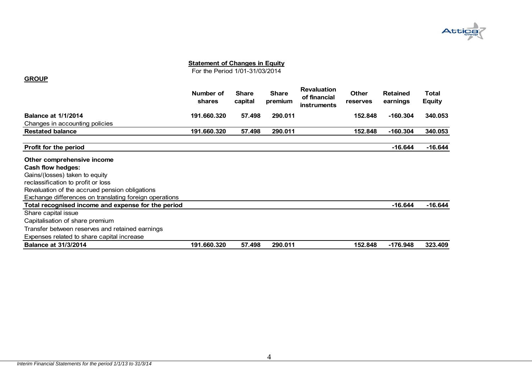

For the Period 1/01-31/03/2014

#### **GROUP**

|                                | Number of<br>shares | <b>Share</b><br>capital | <b>Share</b><br>premium | <b>Revaluation</b><br>of financial<br><b>instruments</b> | <b>Other</b><br>reserves | <b>Retained</b><br>earnings | Total<br><b>Equity</b> |
|--------------------------------|---------------------|-------------------------|-------------------------|----------------------------------------------------------|--------------------------|-----------------------------|------------------------|
| <b>Balance at 1/1/2014</b>     | 191.660.320         | 57.498                  | 290.011                 |                                                          | 152.848                  | $-160.304$                  | 340.053                |
| Changes in accounting policies |                     |                         |                         |                                                          |                          |                             |                        |
| <b>Restated balance</b>        | 191.660.320         | 57.498                  | 290.011                 |                                                          | 152.848                  | $-160.304$                  | 340.053                |
|                                |                     |                         |                         |                                                          |                          |                             |                        |

| Profit for the period                                  |             |        |         |         | $-16.644$  | $-16.644$ |
|--------------------------------------------------------|-------------|--------|---------|---------|------------|-----------|
| Other comprehensive income                             |             |        |         |         |            |           |
| Cash flow hedges:                                      |             |        |         |         |            |           |
| Gains/(losses) taken to equity                         |             |        |         |         |            |           |
| reclassification to profit or loss                     |             |        |         |         |            |           |
| Revaluation of the accrued pension obligations         |             |        |         |         |            |           |
| Exchange differences on translating foreign operations |             |        |         |         |            |           |
| Total recognised income and expense for the period     |             |        |         |         | $-16.644$  | -16.644   |
| Share capital issue                                    |             |        |         |         |            |           |
| Capitalisation of share premium                        |             |        |         |         |            |           |
| Transfer between reserves and retained earnings        |             |        |         |         |            |           |
| Expenses related to share capital increase             |             |        |         |         |            |           |
| <b>Balance at 31/3/2014</b>                            | 191.660.320 | 57.498 | 290.011 | 152.848 | $-176.948$ | 323.409   |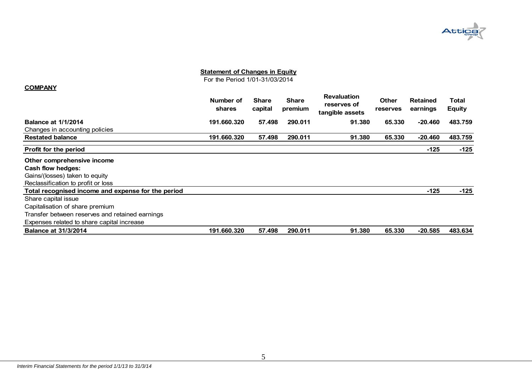

For the Period 1/01-31/03/2014

#### **COMPANY**

|                                                    | Number of<br>shares | <b>Share</b><br>capital | Share<br>premium | <b>Revaluation</b><br>reserves of<br>tangible assets | <b>Other</b><br>reserves | <b>Retained</b><br>earnings | Total<br><b>Equity</b> |
|----------------------------------------------------|---------------------|-------------------------|------------------|------------------------------------------------------|--------------------------|-----------------------------|------------------------|
| <b>Balance at 1/1/2014</b>                         | 191.660.320         | 57.498                  | 290.011          | 91.380                                               | 65.330                   | $-20.460$                   | 483.759                |
| Changes in accounting policies                     |                     |                         |                  |                                                      |                          |                             |                        |
| <b>Restated balance</b>                            | 191.660.320         | 57.498                  | 290.011          | 91.380                                               | 65.330                   | $-20.460$                   | 483.759                |
| <b>Profit for the period</b>                       |                     |                         |                  |                                                      |                          | $-125$                      | $-125$                 |
| Other comprehensive income                         |                     |                         |                  |                                                      |                          |                             |                        |
| Cash flow hedges:                                  |                     |                         |                  |                                                      |                          |                             |                        |
| Gains/(losses) taken to equity                     |                     |                         |                  |                                                      |                          |                             |                        |
| Reclassification to profit or loss                 |                     |                         |                  |                                                      |                          |                             |                        |
| Total recognised income and expense for the period |                     |                         |                  |                                                      |                          | $-125$                      | $-125$                 |
| Share capital issue                                |                     |                         |                  |                                                      |                          |                             |                        |
| Capitalisation of share premium                    |                     |                         |                  |                                                      |                          |                             |                        |
| Transfer between reserves and retained earnings    |                     |                         |                  |                                                      |                          |                             |                        |
| Expenses related to share capital increase         |                     |                         |                  |                                                      |                          |                             |                        |
| <b>Balance at 31/3/2014</b>                        | 191.660.320         | 57.498                  | 290.011          | 91.380                                               | 65,330                   | $-20.585$                   | 483.634                |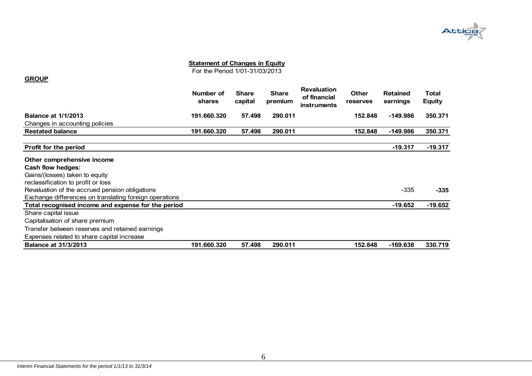

For the Period 1/01-31/03/2013

|                                | Number of<br>shares | <b>Share</b><br>capital | <b>Share</b><br>premium | <b>Revaluation</b><br>of financial<br><b>instruments</b> | Other<br><b>reserves</b> | <b>Retained</b><br>earnings | Total<br><b>Equity</b> |
|--------------------------------|---------------------|-------------------------|-------------------------|----------------------------------------------------------|--------------------------|-----------------------------|------------------------|
| <b>Balance at 1/1/2013</b>     | 191.660.320         | 57.498                  | 290.011                 |                                                          | 152.848                  | $-149.986$                  | 350.371                |
| Changes in accounting policies |                     |                         |                         |                                                          |                          |                             |                        |
| <b>Restated balance</b>        | 191.660.320         | 57.498                  | 290.011                 |                                                          | 152.848                  | $-149.986$                  | 350.371                |
|                                |                     |                         |                         |                                                          |                          |                             |                        |

| Profit for the period                                  |             |        |         |         | $-19.317$ | $-19.317$ |
|--------------------------------------------------------|-------------|--------|---------|---------|-----------|-----------|
| Other comprehensive income                             |             |        |         |         |           |           |
| Cash flow hedges:                                      |             |        |         |         |           |           |
| Gains/(losses) taken to equity                         |             |        |         |         |           |           |
| reclassification to profit or loss                     |             |        |         |         |           |           |
| Revaluation of the accrued pension obligations         |             |        |         |         | $-335$    | $-335$    |
| Exchange differences on translating foreign operations |             |        |         |         |           |           |
| Total recognised income and expense for the period     |             |        |         |         | $-19.652$ | $-19.652$ |
| Share capital issue                                    |             |        |         |         |           |           |
| Capitalisation of share premium                        |             |        |         |         |           |           |
| Transfer between reserves and retained earnings        |             |        |         |         |           |           |
| Expenses related to share capital increase             |             |        |         |         |           |           |
| <b>Balance at 31/3/2013</b>                            | 191.660.320 | 57.498 | 290.011 | 152.848 | -169.638  | 330.719   |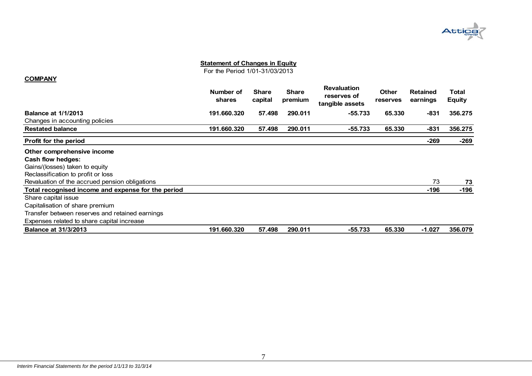

For the Period 1/01-31/03/2013

#### **COMPANY**

|                                                    | Number of<br><b>shares</b> | <b>Share</b><br>capital | <b>Share</b><br>premium | <b>Revaluation</b><br>reserves of<br>tangible assets | <b>Other</b><br>reserves | <b>Retained</b><br>earnings | Total<br><b>Equity</b> |
|----------------------------------------------------|----------------------------|-------------------------|-------------------------|------------------------------------------------------|--------------------------|-----------------------------|------------------------|
| <b>Balance at 1/1/2013</b>                         | 191.660.320                | 57.498                  | 290.011                 | $-55.733$                                            | 65,330                   | -831                        | 356.275                |
| Changes in accounting policies                     |                            |                         |                         |                                                      |                          |                             |                        |
| <b>Restated balance</b>                            | 191.660.320                | 57.498                  | 290.011                 | -55.733                                              | 65.330                   | $-831$                      | 356,275                |
| <b>Profit for the period</b>                       |                            |                         |                         |                                                      |                          | $-269$                      | -269                   |
| Other comprehensive income                         |                            |                         |                         |                                                      |                          |                             |                        |
| Cash flow hedges:                                  |                            |                         |                         |                                                      |                          |                             |                        |
| Gains/(losses) taken to equity                     |                            |                         |                         |                                                      |                          |                             |                        |
| Reclassification to profit or loss                 |                            |                         |                         |                                                      |                          |                             |                        |
| Revaluation of the accrued pension obligations     |                            |                         |                         |                                                      |                          | 73                          | 73                     |
| Total recognised income and expense for the period |                            |                         |                         |                                                      |                          | -196                        | -196                   |
| Share capital issue                                |                            |                         |                         |                                                      |                          |                             |                        |
| Capitalisation of share premium                    |                            |                         |                         |                                                      |                          |                             |                        |
| Transfer between reserves and retained earnings    |                            |                         |                         |                                                      |                          |                             |                        |
| Expenses related to share capital increase         |                            |                         |                         |                                                      |                          |                             |                        |
| <b>Balance at 31/3/2013</b>                        | 191.660.320                | 57.498                  | 290.011                 | $-55.733$                                            | 65.330                   | $-1.027$                    | 356,079                |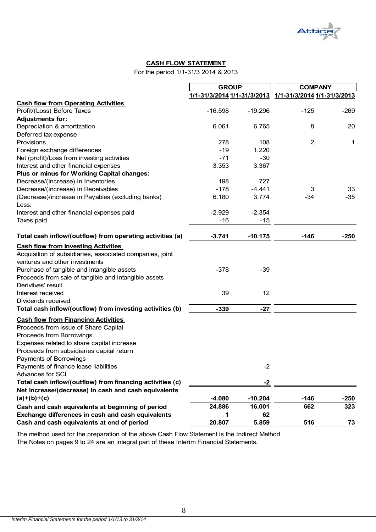

#### **CASH FLOW STATEMENT**

For the period 1/1-31/3 2014 & 2013

|                                                           | <b>GROUP</b> |           | <b>COMPANY</b>                                                    |        |  |
|-----------------------------------------------------------|--------------|-----------|-------------------------------------------------------------------|--------|--|
|                                                           |              |           | <u>1/1-31/3/2014 1/1-31/3/2013    1/1-31/3/2014 1/1-31/3/2013</u> |        |  |
| <b>Cash flow from Operating Activities</b>                |              |           |                                                                   |        |  |
| Profit/(Loss) Before Taxes                                | $-16.598$    | $-19.296$ | $-125$                                                            | $-269$ |  |
| <b>Adjustments for:</b>                                   |              |           |                                                                   |        |  |
| Depreciation & amortization                               | 6.061        | 6.765     | 8                                                                 | 20     |  |
| Deferred tax expense                                      |              |           |                                                                   |        |  |
| Provisions                                                | 278          | 108       | $\overline{2}$                                                    | 1      |  |
| Foreign exchange differences                              | $-19$        | 1.220     |                                                                   |        |  |
| Net (profit)/Loss from investing activities               | $-71$        | $-30$     |                                                                   |        |  |
| Interest and other financial expenses                     | 3.353        | 3.367     |                                                                   |        |  |
| Plus or minus for Working Capital changes:                |              |           |                                                                   |        |  |
| Decrease/(increase) in Inventories                        | 198          | 727       |                                                                   |        |  |
| Decrease/(increase) in Receivables                        | $-178$       | $-4.441$  | 3                                                                 | 33     |  |
| (Decrease)/increase in Payables (excluding banks)         | 6.180        | 3.774     | $-34$                                                             | $-35$  |  |
| Less:<br>Interest and other financial expenses paid       | $-2.929$     | $-2.354$  |                                                                   |        |  |
| Taxes paid                                                | -16          | $-15$     |                                                                   |        |  |
| Total cash inflow/(outflow) from operating activities (a) | $-3.741$     | $-10.175$ | $-146$                                                            | $-250$ |  |
| <b>Cash flow from Investing Activities</b>                |              |           |                                                                   |        |  |
| Acquisition of subsidiaries, associated companies, joint  |              |           |                                                                   |        |  |
| ventures and other investments                            |              |           |                                                                   |        |  |
| Purchase of tangible and intangible assets                | $-378$       | $-39$     |                                                                   |        |  |
| Proceeds from sale of tangible and intangible assets      |              |           |                                                                   |        |  |
| Derivtives' result                                        |              |           |                                                                   |        |  |
| Interest received                                         | 39           | 12        |                                                                   |        |  |
| Dividends received                                        |              |           |                                                                   |        |  |
| Total cash inflow/(outflow) from investing activities (b) | $-339$       | $-27$     |                                                                   |        |  |
| <b>Cash flow from Financing Activities</b>                |              |           |                                                                   |        |  |
| Proceeds from issue of Share Capital                      |              |           |                                                                   |        |  |
| Proceeds from Borrowings                                  |              |           |                                                                   |        |  |
| Expenses related to share capital increase                |              |           |                                                                   |        |  |
| Proceeds from subsidiaries capital return                 |              |           |                                                                   |        |  |
| Payments of Borrowings                                    |              |           |                                                                   |        |  |
| Payments of finance lease liabilities                     |              | $-2$      |                                                                   |        |  |
| <b>Advances for SCI</b>                                   |              |           |                                                                   |        |  |
| Total cash inflow/(outflow) from financing activities (c) |              | $-2$      |                                                                   |        |  |
| Net increase/(decrease) in cash and cash equivalents      |              |           |                                                                   |        |  |
| $(a)+(b)+(c)$                                             | $-4.080$     | $-10.204$ | $-146$                                                            | $-250$ |  |
| Cash and cash equivalents at beginning of period          | 24.886       | 16.001    | 662                                                               | 323    |  |
| Exchange differences in cash and cash equivalents         | 1            | 62        |                                                                   |        |  |
| Cash and cash equivalents at end of period                | 20.807       | 5.859     | 516                                                               | 73     |  |

The Notes on pages 9 to 24 are an integral part of these Interim Financial Statements. The method used for the preparation of the above Cash Flow Statement is the Indirect Method.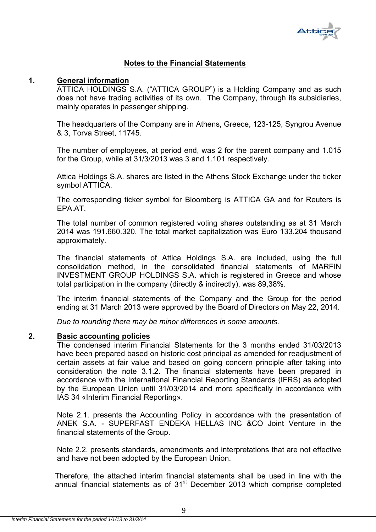

# **Notes to the Financial Statements**

#### **1. General information**

ATTICA HOLDINGS S.A. ("ATTICA GROUP") is a Holding Company and as such does not have trading activities of its own. The Company, through its subsidiaries, mainly operates in passenger shipping.

The headquarters of the Company are in Athens, Greece, 123-125, Syngrou Avenue & 3, Torva Street, 11745.

The number of employees, at period end, was 2 for the parent company and 1.015 for the Group, while at 31/3/2013 was 3 and 1.101 respectively.

Attica Holdings S.A. shares are listed in the Athens Stock Exchange under the ticker symbol ATTICA.

The corresponding ticker symbol for Bloomberg is ATTICA GA and for Reuters is EPA.AT.

The total number of common registered voting shares outstanding as at 31 March 2014 was 191.660.320. The total market capitalization was Euro 133.204 thousand approximately.

The financial statements of Attica Holdings S.A. are included, using the full consolidation method, in the consolidated financial statements of MARFIN INVESTMENT GROUP HOLDINGS S.A. which is registered in Greece and whose total participation in the company (directly & indirectly), was 89,38%.

The interim financial statements of the Company and the Group for the period ending at 31 March 2013 were approved by the Board of Directors on May 22, 2014.

*Due to rounding there may be minor differences in some amounts.* 

## **2. Basic accounting policies**

The condensed interim Financial Statements for the 3 months ended 31/03/2013 have been prepared based on historic cost principal as amended for readjustment of certain assets at fair value and based on going concern principle after taking into consideration the note 3.1.2. The financial statements have been prepared in accordance with the International Financial Reporting Standards (IFRS) as adopted by the European Union until 31/03/2014 and more specifically in accordance with IAS 34 «Interim Financial Reporting».

Note 2.1. presents the Accounting Policy in accordance with the presentation of ANEK S.A. - SUPERFAST ENDEKA HELLAS INC &CO Joint Venture in the financial statements of the Group.

Note 2.2. presents standards, amendments and interpretations that are not effective and have not been adopted by the European Union.

Therefore, the attached interim financial statements shall be used in line with the annual financial statements as of  $31<sup>st</sup>$  December 2013 which comprise completed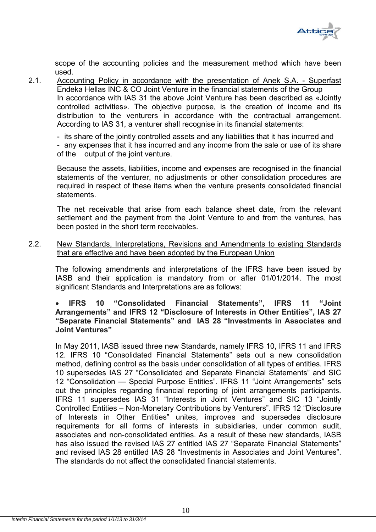

scope of the accounting policies and the measurement method which have been used.

2.1. Accounting Policy in accordance with the presentation of Anek S.A. - Superfast Endeka Hellas INC & CO Joint Venture in the financial statements of the Group In accordance with IAS 31 the above Joint Venture has been described as «Jointly controlled activities». The objective purpose, is the creation of income and its distribution to the venturers in accordance with the contractual arrangement. According to IAS 31, a venturer shall recognise in its financial statements:

- its share of the jointly controlled assets and any liabilities that it has incurred and - any expenses that it has incurred and any income from the sale or use of its share of the output of the joint venture.

Because the assets, liabilities, income and expenses are recognised in the financial statements of the venturer, no adjustments or other consolidation procedures are required in respect of these items when the venture presents consolidated financial statements.

The net receivable that arise from each balance sheet date, from the relevant settlement and the payment from the Joint Venture to and from the ventures, has been posted in the short term receivables.

2.2. New Standards, Interpretations, Revisions and Amendments to existing Standards that are effective and have been adopted by the European Union

The following amendments and interpretations of the IFRS have been issued by IASB and their application is mandatory from or after 01/01/2014. The most significant Standards and Interpretations are as follows:

# **IFRS 10 "Consolidated Financial Statements", IFRS 11 "Joint Arrangements" and IFRS 12 "Disclosure of Interests in Other Entities", IAS 27 "Separate Financial Statements" and IAS 28 "Investments in Associates and Joint Ventures"**

In May 2011, IASB issued three new Standards, namely IFRS 10, IFRS 11 and IFRS 12. IFRS 10 "Consolidated Financial Statements" sets out a new consolidation method, defining control as the basis under consolidation of all types of entities. IFRS 10 supersedes IAS 27 "Consolidated and Separate Financial Statements" and SIC 12 "Consolidation — Special Purpose Entities". IFRS 11 "Joint Arrangements" sets out the principles regarding financial reporting of joint arrangements participants. IFRS 11 supersedes IAS 31 "Interests in Joint Ventures" and SIC 13 "Jointly Controlled Entities – Non-Monetary Contributions by Venturers". IFRS 12 "Disclosure of Interests in Other Entities" unites, improves and supersedes disclosure requirements for all forms of interests in subsidiaries, under common audit, associates and non-consolidated entities. As a result of these new standards, IASB has also issued the revised IAS 27 entitled IAS 27 "Separate Financial Statements" and revised IAS 28 entitled IAS 28 "Investments in Associates and Joint Ventures". The standards do not affect the consolidated financial statements.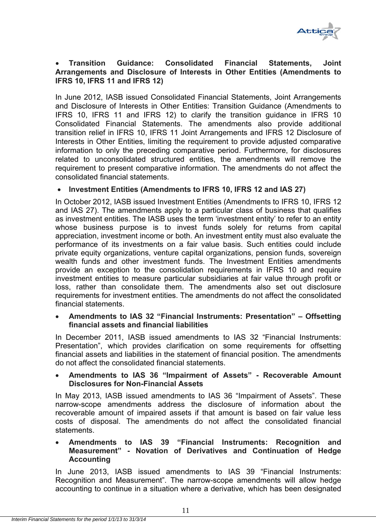

# **Transition Guidance: Consolidated Financial Statements, Joint Arrangements and Disclosure of Interests in Other Entities (Amendments to IFRS 10, IFRS 11 and IFRS 12)**

In June 2012, IASB issued Consolidated Financial Statements, Joint Arrangements and Disclosure of Interests in Other Entities: Transition Guidance (Amendments to IFRS 10, IFRS 11 and IFRS 12) to clarify the transition guidance in IFRS 10 Consolidated Financial Statements. The amendments also provide additional transition relief in IFRS 10, IFRS 11 Joint Arrangements and IFRS 12 Disclosure of Interests in Other Entities, limiting the requirement to provide adjusted comparative information to only the preceding comparative period. Furthermore, for disclosures related to unconsolidated structured entities, the amendments will remove the requirement to present comparative information. The amendments do not affect the consolidated financial statements.

# **Investment Entities (Amendments to IFRS 10, IFRS 12 and IAS 27)**

In October 2012, IASB issued Investment Entities (Amendments to IFRS 10, IFRS 12 and IAS 27). The amendments apply to a particular class of business that qualifies as investment entities. The IASB uses the term 'investment entity' to refer to an entity whose business purpose is to invest funds solely for returns from capital appreciation, investment income or both. An investment entity must also evaluate the performance of its investments on a fair value basis. Such entities could include private equity organizations, venture capital organizations, pension funds, sovereign wealth funds and other investment funds. The Investment Entities amendments provide an exception to the consolidation requirements in IFRS 10 and require investment entities to measure particular subsidiaries at fair value through profit or loss, rather than consolidate them. The amendments also set out disclosure requirements for investment entities. The amendments do not affect the consolidated financial statements.

# **Amendments to IAS 32 "Financial Instruments: Presentation" – Offsetting financial assets and financial liabilities**

In December 2011, IASB issued amendments to IAS 32 "Financial Instruments: Presentation", which provides clarification on some requirements for offsetting financial assets and liabilities in the statement of financial position. The amendments do not affect the consolidated financial statements.

# **Amendments to IAS 36 "Impairment of Assets" - Recoverable Amount Disclosures for Non-Financial Assets**

In May 2013, IASB issued amendments to IAS 36 "Impairment of Assets". These narrow-scope amendments address the disclosure of information about the recoverable amount of impaired assets if that amount is based on fair value less costs of disposal. The amendments do not affect the consolidated financial statements.

# **Amendments to IAS 39 "Financial Instruments: Recognition and Measurement" - Novation of Derivatives and Continuation of Hedge Accounting**

In June 2013, IASB issued amendments to IAS 39 "Financial Instruments: Recognition and Measurement". The narrow-scope amendments will allow hedge accounting to continue in a situation where a derivative, which has been designated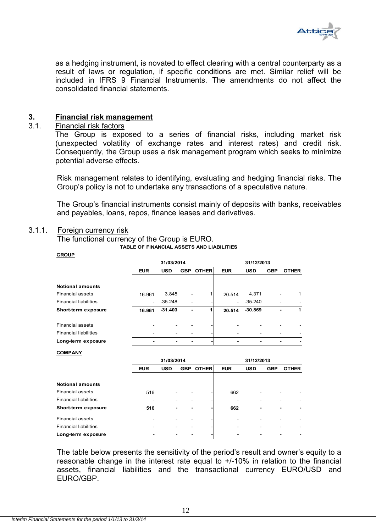

as a hedging instrument, is novated to effect clearing with a central counterparty as a result of laws or regulation, if specific conditions are met. Similar relief will be included in IFRS 9 Financial Instruments. The amendments do not affect the consolidated financial statements.

## **3. Financial risk management**

#### 3.1. Financial risk factors

The Group is exposed to a series of financial risks, including market risk (unexpected volatility of exchange rates and interest rates) and credit risk. Consequently, the Group uses a risk management program which seeks to minimize potential adverse effects.

Risk management relates to identifying, evaluating and hedging financial risks. The Group's policy is not to undertake any transactions of a speculative nature.

The Group's financial instruments consist mainly of deposits with banks, receivables and payables, loans, repos, finance leases and derivatives.

# 3.1.1. Foreign currency risk

**GROUP**

The functional currency of the Group is EURO.

**TABLE OF FINANCIAL ASSETS AND LIABILITIES**

|                              |                   | 31/03/2014 |                              |              | 31/12/2013     |            |            |              |  |
|------------------------------|-------------------|------------|------------------------------|--------------|----------------|------------|------------|--------------|--|
|                              | <b>EUR</b>        | <b>USD</b> | <b>GBP</b>                   | <b>OTHER</b> | <b>EUR</b>     | <b>USD</b> | <b>GBP</b> | <b>OTHER</b> |  |
|                              |                   |            |                              |              |                |            |            |              |  |
| <b>Notional amounts</b>      |                   |            |                              |              |                |            |            |              |  |
| <b>Financial assets</b>      | 16.961            | 3.845      |                              |              | 20.514         | 4.371      |            | 1            |  |
| <b>Financial liabilities</b> | $\qquad \qquad -$ | $-35.248$  | ۰                            |              | ۰              | $-35.240$  |            |              |  |
| Short-term exposure          | 16.961            | $-31.403$  | $\blacksquare$               | 1            | 20.514         | $-30.869$  |            | 1            |  |
| <b>Financial assets</b>      |                   |            |                              |              |                |            |            |              |  |
| <b>Financial liabilities</b> |                   |            |                              |              |                |            |            |              |  |
| Long-term exposure           |                   |            | $\qquad \qquad \blacksquare$ |              | $\blacksquare$ |            |            |              |  |
| <b>COMPANY</b>               |                   |            |                              |              |                |            |            |              |  |
|                              |                   | 31/03/2014 |                              |              |                | 31/12/2013 |            |              |  |
|                              | <b>EUR</b>        | <b>USD</b> | <b>GBP</b>                   | <b>OTHER</b> | <b>EUR</b>     | <b>USD</b> | <b>GBP</b> | <b>OTHER</b> |  |
| <b>Notional amounts</b>      |                   |            |                              |              |                |            |            |              |  |
| <b>Financial assets</b>      | 516               |            |                              |              | 662            |            |            |              |  |
| <b>Financial liabilities</b> | ÷                 |            |                              |              |                |            |            |              |  |
| Short-term exposure          | 516               | -          |                              |              | 662            | -          |            |              |  |
| <b>Financial assets</b>      |                   |            |                              |              |                |            |            |              |  |
| <b>Financial liabilities</b> |                   |            |                              |              |                |            |            |              |  |
| Long-term exposure           |                   | -          |                              |              | -              |            |            |              |  |

The table below presents the sensitivity of the period's result and owner's equity to a reasonable change in the interest rate equal to +/-10% in relation to the financial assets, financial liabilities and the transactional currency EURO/USD and EURO/GBP.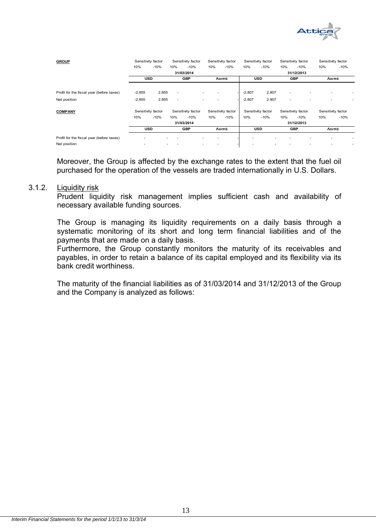

| <b>GROUP</b>                              | Sensitivity factor<br>Sensitivity factor |        | Sensitivity factor<br>Sensitivity factor |                    | Sensitivity factor |                    | Sensitivity factor |                    |                          |                    |                    |        |
|-------------------------------------------|------------------------------------------|--------|------------------------------------------|--------------------|--------------------|--------------------|--------------------|--------------------|--------------------------|--------------------|--------------------|--------|
|                                           | 10%                                      | $-10%$ | 10%                                      | $-10%$             | 10%                | $-10%$             | 10%                | $-10%$             | 10%                      | $-10%$             | 10%                | $-10%$ |
|                                           |                                          |        |                                          | 31/03/2014         |                    |                    |                    |                    |                          | 31/12/2013         |                    |        |
|                                           | <b>USD</b>                               |        |                                          | <b>GBP</b>         |                    | Λοιπά              |                    | <b>USD</b>         |                          | <b>GBP</b>         | Λοιπά              |        |
|                                           |                                          |        |                                          |                    |                    |                    |                    |                    |                          |                    |                    |        |
| Profit for the fiscal year (before taxes) | $-2.855$                                 | 2.855  | $\overline{\phantom{a}}$                 | ۰                  |                    |                    | $-2.807$           | 2.807              | $\overline{\phantom{a}}$ |                    |                    |        |
| Net position                              | $-2.855$                                 | 2.855  | $\overline{\phantom{a}}$                 | ۰                  |                    |                    | $-2.807$           | 2.807              | ۰                        |                    |                    |        |
| <b>COMPANY</b>                            | Sensitivity factor                       |        |                                          | Sensitivity factor |                    | Sensitivity factor |                    | Sensitivity factor |                          | Sensitivity factor | Sensitivity factor |        |
|                                           | 10%                                      | $-10%$ | 10%                                      | $-10%$             | 10%                | $-10%$             | 10%                | $-10%$             | 10%                      | $-10%$             | 10%                | $-10%$ |
|                                           |                                          |        |                                          | 31/03/2014         |                    |                    |                    |                    |                          | 31/12/2013         |                    |        |
|                                           | <b>USD</b>                               |        |                                          | <b>GBP</b>         |                    | Λοιπά              |                    | <b>USD</b>         |                          | <b>GBP</b>         | Λοιπά              |        |
| Profit for the fiscal year (before taxes) | ٠                                        |        |                                          |                    |                    |                    | ۰                  |                    |                          |                    |                    |        |
| Net position                              | ٠                                        |        |                                          |                    |                    |                    |                    |                    |                          |                    |                    |        |

Moreover, the Group is affected by the exchange rates to the extent that the fuel oil purchased for the operation of the vessels are traded internationally in U.S. Dollars.

#### 3.1.2. Liquidity risk

Prudent liquidity risk management implies sufficient cash and availability of necessary available funding sources.

The Group is managing its liquidity requirements on a daily basis through a systematic monitoring οf its short and long term financial liabilities and of the payments that are made on a daily basis.

Furthermore, the Group constantly monitors the maturity of its receivables and payables, in order to retain a balance of its capital employed and its flexibility via its bank credit worthiness.

The maturity of the financial liabilities as of 31/03/2014 and 31/12/2013 of the Group and the Company is analyzed as follows: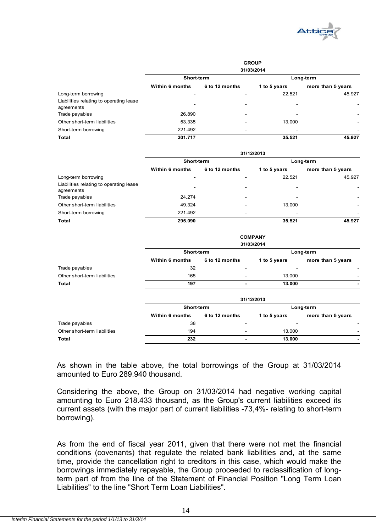

|                                                       | <b>GROUP</b><br>31/03/2014 |                          |                          |                          |  |  |
|-------------------------------------------------------|----------------------------|--------------------------|--------------------------|--------------------------|--|--|
|                                                       | Short-term                 |                          | Long-term                |                          |  |  |
|                                                       | <b>Within 6 months</b>     | 6 to 12 months           | 1 to 5 years             | more than 5 years        |  |  |
| Long-term borrowing                                   | -                          |                          | 22.521                   | 45.927                   |  |  |
| Liabilities relating to operating lease<br>agreements | -                          | $\overline{\phantom{a}}$ | $\overline{\phantom{0}}$ | ٠                        |  |  |
| Trade payables                                        | 26.890                     | $\overline{\phantom{a}}$ | -                        | $\overline{\phantom{a}}$ |  |  |
| Other short-term liabilities                          | 53.335                     | $\overline{\phantom{a}}$ | 13.000                   | ۰                        |  |  |
| Short-term borrowing                                  | 221.492                    | -                        | -                        | ٠                        |  |  |
| Total                                                 | 301.717                    |                          | 35.521                   | 45.927                   |  |  |

|                                                       | 31/12/2013             |                          |              |                          |  |  |
|-------------------------------------------------------|------------------------|--------------------------|--------------|--------------------------|--|--|
|                                                       | Short-term             |                          | Long-term    |                          |  |  |
|                                                       | <b>Within 6 months</b> | 6 to 12 months           | 1 to 5 years | more than 5 years        |  |  |
| Long-term borrowing                                   |                        |                          | 22.521       | 45.927                   |  |  |
| Liabilities relating to operating lease<br>agreements |                        | $\overline{\phantom{a}}$ |              |                          |  |  |
| Trade payables                                        | 24.274                 | $\overline{\phantom{a}}$ |              | $\overline{\phantom{a}}$ |  |  |
| Other short-term liabilities                          | 49.324                 | $\overline{\phantom{a}}$ | 13.000       | -                        |  |  |
| Short-term borrowing                                  | 221.492                | $\overline{\phantom{a}}$ |              | -                        |  |  |
| Total                                                 | 295.090                |                          | 35.521       | 45.927                   |  |  |

|                              | <b>COMPANY</b><br>31/03/2014 |                          |              |                          |  |  |
|------------------------------|------------------------------|--------------------------|--------------|--------------------------|--|--|
|                              | Short-term                   |                          |              | Long-term                |  |  |
|                              | <b>Within 6 months</b>       | 6 to 12 months           | 1 to 5 years | more than 5 years        |  |  |
| Trade payables               | 32                           | ٠                        |              | ٠                        |  |  |
| Other short-term liabilities | 165                          | ۰                        | 13.000       |                          |  |  |
| Total                        | 197                          |                          | 13,000       |                          |  |  |
|                              |                              |                          | 31/12/2013   |                          |  |  |
|                              | Short-term                   |                          |              | Long-term                |  |  |
|                              | <b>Within 6 months</b>       | 6 to 12 months           | 1 to 5 years | more than 5 years        |  |  |
| Trade payables               | 38                           | $\overline{\phantom{0}}$ |              | $\overline{\phantom{a}}$ |  |  |
| Other short-term liabilities | 194                          |                          | 13.000       |                          |  |  |

**Total 232 - 13.000 -**

As shown in the table above, the total borrowings of the Group at 31/03/2014 amounted to Euro 289.940 thousand.

Considering the above, the Group on 31/03/2014 had negative working capital amounting to Euro 218.433 thousand, as the Group's current liabilities exceed its current assets (with the major part of current liabilities -73,4%- relating to short-term borrowing).

As from the end of fiscal year 2011, given that there were not met the financial conditions (covenants) that regulate the related bank liabilities and, at the same time, provide the cancellation right to creditors in this case, which would make the borrowings immediately repayable, the Group proceeded to reclassification of longterm part of from the line of the Statement of Financial Position "Long Term Loan Liabilities" to the line "Short Term Loan Liabilities".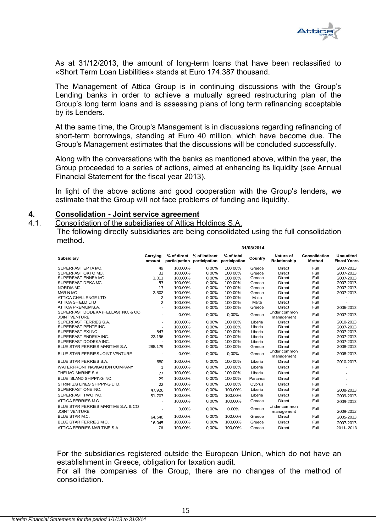

As at 31/12/2013, the amount of long-term loans that have been reclassified to «Short Term Loan Liabilities» stands at Euro 174.387 thousand.

The Management of Attica Group is in continuing discussions with the Group's Lending banks in order to achieve a mutually agreed restructuring plan of the Group's long term loans and is assessing plans of long term refinancing acceptable by its Lenders.

At the same time, the Group's Management is in discussions regarding refinancing of short-term borrowings, standing at Euro 40 million, which have become due. The Group's Management estimates that the discussions will be concluded successfully.

Along with the conversations with the banks as mentioned above, within the year, the Group proceeded to a series of actions, aimed at enhancing its liquidity (see Annual Financial Statement for the fiscal year 2013).

In light of the above actions and good cooperation with the Group's lenders, we estimate that the Group will not face problems of funding and liquidity.

#### **4. Consolidation - Joint service agreement**

4.1. Consolidation of the subsidiaries of Attica Holdings S.A.

The following directly subsidiaries are being consolidated using the full consolidation method.

|                                                               | 31/03/2014         |         |                                                          |                             |         |                            |                         |                                  |
|---------------------------------------------------------------|--------------------|---------|----------------------------------------------------------|-----------------------------|---------|----------------------------|-------------------------|----------------------------------|
| Subsidiary                                                    | Carrying<br>amount |         | % of direct % of indirect<br>participation participation | % of total<br>participation | Country | Nature of<br>Relationship  | Consolidation<br>Method | Unaudited<br><b>Fiscal Years</b> |
| SUPERFAST EPTA MC.                                            | 49                 | 100,00% | 0,00%                                                    | 100,00%                     | Greece  | <b>Direct</b>              | Full                    | 2007-2013                        |
| SUPERFAST OKTO MC.                                            | 32                 | 100,00% | 0,00%                                                    | 100,00%                     | Greece  | <b>Direct</b>              | Full                    | 2007-2013                        |
| SUPERFAST ENNEA MC.                                           | 1.011              | 100.00% | 0.00%                                                    | 100,00%                     | Greece  | <b>Direct</b>              | Full                    | 2007-2013                        |
| SUPERFAST DEKA MC.                                            | 53                 | 100.00% | 0.00%                                                    | 100.00%                     | Greece  | <b>Direct</b>              | Full                    | 2007-2013                        |
| NORDIA MC.                                                    | 17                 | 100,00% | 0.00%                                                    | 100,00%                     | Greece  | <b>Direct</b>              | Full                    | 2007-2013                        |
| MARIN MC.                                                     | 2.302              | 100.00% | 0.00%                                                    | 100,00%                     | Greece  | <b>Direct</b>              | Full                    | 2007-2013                        |
| ATTICA CHALLENGE LTD                                          | $\overline{2}$     | 100.00% | 0.00%                                                    | 100.00%                     | Malta   | <b>Direct</b>              | Full                    |                                  |
| <b>ATTICA SHIELD LTD</b>                                      | $\mathfrak{p}$     | 100,00% | 0,00%                                                    | 100,00%                     | Malta   | <b>Direct</b>              | Full                    |                                  |
| ATTICA PREMIUM S.A.                                           | ×.                 | 100,00% | 0,00%                                                    | 100,00%                     | Greece  | Direct                     | Full                    | 2006-2013                        |
| SUPERFAST DODEKA (HELLAS) INC. & CO<br><b>JOINT VENTURE</b>   |                    | 0.00%   | 0.00%                                                    | 0,00%                       | Greece  | Under common<br>management | Full                    | 2007-2013                        |
| SUPERFAST FERRIES S.A.                                        | ÷.                 | 100.00% | 0.00%                                                    | 100.00%                     | Liberia | <b>Direct</b>              | Full                    | 2010-2013                        |
| SUPERFAST PENTE INC.                                          |                    | 100.00% | 0.00%                                                    | 100.00%                     | Liberia | <b>Direct</b>              | Full                    | 2007-2013                        |
| SUPERFAST EXI INC.                                            | 547                | 100.00% | 0.00%                                                    | 100.00%                     | Liberia | <b>Direct</b>              | Full                    | 2007-2013                        |
| SUPERFAST ENDEKA INC.                                         | 22.196             | 100,00% | 0,00%                                                    | 100,00%                     | Liberia | <b>Direct</b>              | Full                    | 2007-2013                        |
| SUPERFAST DODEKA INC.                                         | $\sim$             | 100,00% | 0,00%                                                    | 100,00%                     | Liberia | <b>Direct</b>              | Full                    | 2007-2013                        |
| BLUE STAR FERRIES MARITIME S.A.                               | 288.179            | 100.00% | 0.00%                                                    | 100,00%                     | Greece  | <b>Direct</b>              | Full                    | 2008-2013                        |
| BLUE STAR FERRIES JOINT VENTURE                               | ×,                 | 0.00%   | 0.00%                                                    | 0,00%                       | Greece  | Under common<br>management | Full                    | 2008-2013                        |
| <b>BLUE STAR FERRIES S.A.</b>                                 | 680                | 100,00% | 0,00%                                                    | 100,00%                     | Liberia | <b>Direct</b>              | Full                    | 2010-2013                        |
| WATERFRONT NAVIGATION COMPANY                                 | $\mathbf{1}$       | 100.00% | 0.00%                                                    | 100.00%                     | Liberia | <b>Direct</b>              | Full                    |                                  |
| THELMO MARINE S.A.                                            | 77                 | 100,00% | 0,00%                                                    | 100,00%                     | Liberia | <b>Direct</b>              | Full                    |                                  |
| <b>BLUE ISLAND SHIPPING INC.</b>                              | 29                 | 100.00% | 0.00%                                                    | 100,00%                     | Panama  | <b>Direct</b>              | Full                    |                                  |
| STRINTZIS LINES SHIPPING LTD.                                 | 22                 | 100,00% | 0,00%                                                    | 100,00%                     | Cyprus  | Direct                     | Full                    |                                  |
| SUPERFAST ONE INC.                                            | 47.926             | 100.00% | 0.00%                                                    | 100.00%                     | Liberia | <b>Direct</b>              | Full                    | 2008-2013                        |
| SUPERFAST TWO INC.                                            | 51.703             | 100,00% | 0,00%                                                    | 100,00%                     | Liberia | <b>Direct</b>              | Full                    | 2009-2013                        |
| ATTICA FERRIES M.C.                                           |                    | 100.00% | 0.00%                                                    | 100.00%                     | Greece  | Direct                     | Full                    | 2009-2013                        |
| BLUE STAR FERRIES MARITIME S.A. & CO.<br><b>JOINT VENTURE</b> | ×.                 | 0.00%   | $0.00\%$                                                 | 0.00%                       | Greece  | Under common<br>management | Full                    | 2009-2013                        |
| <b>BLUE STAR M.C.</b>                                         | 64.540             | 100,00% | 0,00%                                                    | 100,00%                     | Greece  | <b>Direct</b>              | Full                    | 2005-2013                        |
| BLUE STAR FERRIES M.C.                                        | 16.045             | 100,00% | 0.00%                                                    | 100.00%                     | Greece  | <b>Direct</b>              | Full                    | 2007-2013                        |
| ATTICA FERRIES MARITIME S.A.                                  | 76                 | 100,00% | 0,00%                                                    | 100,00%                     | Greece  | <b>Direct</b>              | Full                    | 2011-2013                        |

For the subsidiaries registered outside the European Union, which do not have an establishment in Greece, obligation for taxation audit.

For all the companies of the Group, there are no changes of the method of consolidation.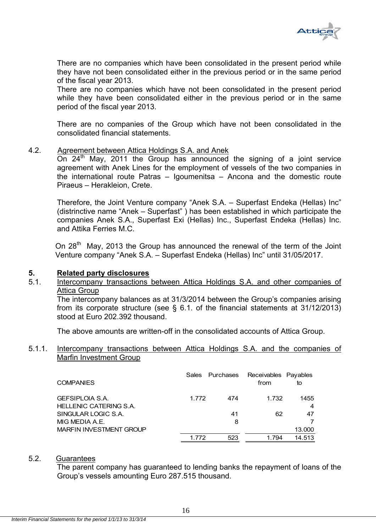

There are no companies which have been consolidated in the present period while they have not been consolidated either in the previous period or in the same period of the fiscal year 2013.

There are no companies which have not been consolidated in the present period while they have been consolidated either in the previous period or in the same period of the fiscal year 2013.

There are no companies of the Group which have not been consolidated in the consolidated financial statements.

#### 4.2. Agreement between Attica Holdings S.A. and Anek

On  $24<sup>th</sup>$  May, 2011 the Group has announced the signing of a joint service agreement with Anek Lines for the employment of vessels of the two companies in the international route Patras – Igoumenitsa – Ancona and the domestic route Piraeus – Herakleion, Crete.

Therefore, the Joint Venture company "Anek S.A. – Superfast Endeka (Hellas) Inc" (distrinctive name "Anek – Superfast" ) has been established in which participate the companies Anek S.A., Superfast Exi (Hellas) Inc., Superfast Endeka (Hellas) Inc. and Attika Ferries M.C.

On  $28<sup>th</sup>$  May, 2013 the Group has announced the renewal of the term of the Joint Venture company "Anek S.A. – Superfast Endeka (Hellas) Inc" until 31/05/2017.

#### **5. Related party disclosures**

# 5.1. Intercompany transactions between Attica Holdings S.A. and other companies of Attica Group

The intercompany balances as at 31/3/2014 between the Group's companies arising from its corporate structure (see § 6.1. of the financial statements at 31/12/2013) stood at Euro 202.392 thousand.

The above amounts are written-off in the consolidated accounts of Attica Group.

#### 5.1.1. Intercompany transactions between Attica Holdings S.A. and the companies of Marfin Investment Group

| <b>COMPANIES</b>                                        | <b>Sales</b> | Purchases | Receivables Payables<br>from | to        |
|---------------------------------------------------------|--------------|-----------|------------------------------|-----------|
| <b>GEFSIPLOIA S.A.</b><br><b>HELLENIC CATERING S.A.</b> | 1.772        | 474       | 1.732                        | 1455<br>4 |
| SINGULAR LOGIC S.A.                                     |              | 41        | 62                           | 47        |
| MIG MEDIA A.E.                                          |              | 8         |                              |           |
| <b>MARFIN INVESTMENT GROUP</b>                          |              |           |                              | 13.000    |
|                                                         | 1 772        | 523       | 1.794                        | 14.513    |

#### 5.2. Guarantees

 The parent company has guaranteed to lending banks the repayment of loans of the Group's vessels amounting Euro 287.515 thousand.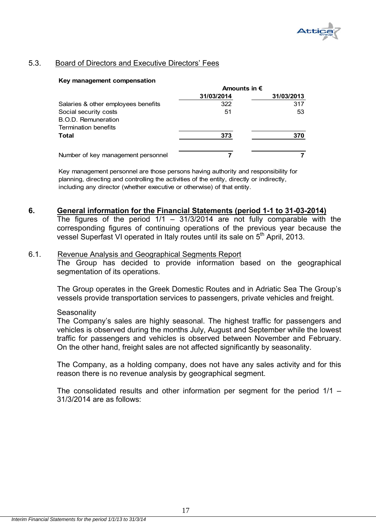

# 5.3. Board of Directors and Executive Directors' Fees

#### **Key management compensation**

|                                     | Amounts in $\epsilon$ |            |
|-------------------------------------|-----------------------|------------|
|                                     | 31/03/2014            | 31/03/2013 |
| Salaries & other employees benefits | 322                   | 317        |
| Social security costs               | 51                    | 53         |
| B.O.D. Remuneration                 |                       |            |
| Termination benefits                |                       |            |
| Total                               | 373                   | 370        |
|                                     |                       |            |
| Number of key management personnel  |                       |            |

Key management personnel are those persons having authority and responsibility for planning, directing and controlling the activities of the entity, directly or indirectly, including any director (whether executive or otherwise) of that entity.

# **6. General information for the Financial Statements (period 1-1 to 31-03-2014)**

The figures of the period  $1/1 - 31/3/2014$  are not fully comparable with the corresponding figures of continuing operations of the previous year because the vessel Superfast VI operated in Italy routes until its sale on 5<sup>th</sup> April, 2013.

#### 6.1. Revenue Analysis and Geographical Segments Report

The Group has decided to provide information based on the geographical segmentation of its operations.

The Group operates in the Greek Domestic Routes and in Adriatic Sea The Group's vessels provide transportation services to passengers, private vehicles and freight.

#### **Seasonality**

The Company's sales are highly seasonal. The highest traffic for passengers and vehicles is observed during the months July, August and September while the lowest traffic for passengers and vehicles is observed between November and February. On the other hand, freight sales are not affected significantly by seasonality.

The Company, as a holding company, does not have any sales activity and for this reason there is no revenue analysis by geographical segment.

The consolidated results and other information per segment for the period 1/1 – 31/3/2014 are as follows: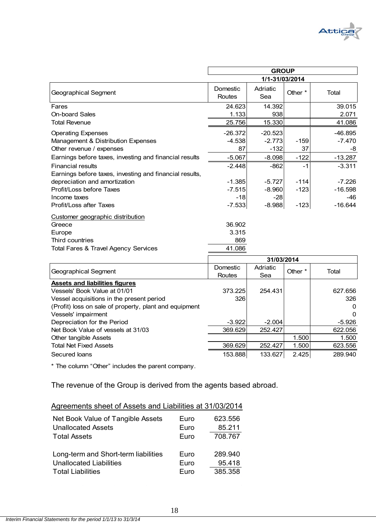

|                                                         | <b>GROUP</b>       |                 |         |           |  |
|---------------------------------------------------------|--------------------|-----------------|---------|-----------|--|
|                                                         |                    | 1/1-31/03/2014  |         |           |  |
| Geographical Segment                                    | Domestic<br>Routes | Adriatic<br>Sea | Other * | Total     |  |
| Fares                                                   | 24.623             | 14.392          |         | 39.015    |  |
| <b>On-board Sales</b>                                   | 1.133              | 938             |         | 2.071     |  |
| <b>Total Revenue</b>                                    | 25.756             | 15.330          |         | 41.086    |  |
| <b>Operating Expenses</b>                               | $-26.372$          | $-20.523$       |         | $-46.895$ |  |
| Management & Distribution Expenses                      | $-4.538$           | $-2.773$        | $-159$  | $-7.470$  |  |
| Other revenue / expenses                                | 87                 | $-132$          | 37      | -8        |  |
| Earnings before taxes, investing and financial results  | $-5.067$           | $-8.098$        | $-122$  | $-13.287$ |  |
| <b>Financial results</b>                                | $-2.448$           | $-862$          | -1      | $-3.311$  |  |
| Earnings before taxes, investing and financial results, |                    |                 |         |           |  |
| depreciation and amortization                           | -1.3851            | $-5.727$        | $-114$  | $-7.226$  |  |
| Profit/Loss before Taxes                                | -7.5151            | $-8.960$        | $-123$  | $-16.598$ |  |
| Income taxes                                            | $-18$              | $-28$           |         | -46       |  |
| Profit/Loss after Taxes                                 | $-7.533$           | $-8.988$        | $-123$  | $-16.644$ |  |
| Customer geographic distribution                        |                    |                 |         |           |  |
| Greece                                                  | 36.902             |                 |         |           |  |
| Europe                                                  | 3.315              |                 |         |           |  |
| Third countries                                         | 869                |                 |         |           |  |
| <b>Total Fares &amp; Travel Agency Services</b>         | 41.086             |                 |         |           |  |
|                                                         |                    |                 |         |           |  |

|                                                        | 31/03/2014 |          |         |          |  |
|--------------------------------------------------------|------------|----------|---------|----------|--|
| Geographical Segment                                   | Domestic   | Adriatic | Other * | Total    |  |
|                                                        | Routes     | Sea      |         |          |  |
| <b>Assets and liabilities figures</b>                  |            |          |         |          |  |
| Vessels' Book Value at 01/01                           | 373.225    | 254.431  |         | 627.656  |  |
| Vessel acquisitions in the present period              | 326        |          |         | 326      |  |
| (Profit) loss on sale of property, plant and equipment |            |          |         | 0        |  |
| Vessels' impairment                                    |            |          |         | $\Omega$ |  |
| Depreciation for the Period                            | $-3.922$   | $-2.004$ |         | -5.926   |  |
| Net Book Value of vessels at 31/03                     | 369.629    | 252.427  |         | 622.056  |  |
| Other tangible Assets                                  |            |          | 1.500   | 1.500    |  |
| <b>Total Net Fixed Assets</b>                          | 369.629    | 252.427  | 1.500   | 623.556  |  |
| Secured loans                                          | 153.888    | 133.627  | 2.425   | 289.940  |  |

\* The column "Other" includes the parent company.

The revenue of the Group is derived from the agents based abroad.

| Net Book Value of Tangible Assets    | Euro | 623.556 |
|--------------------------------------|------|---------|
| <b>Unallocated Assets</b>            | Euro | 85.211  |
| <b>Total Assets</b>                  | Euro | 708.767 |
| Long-term and Short-term liabilities | Euro | 289.940 |
| <b>Unallocated Liabilities</b>       | Euro | 95.418  |
| <b>Total Liabilities</b>             | Euro | 385.358 |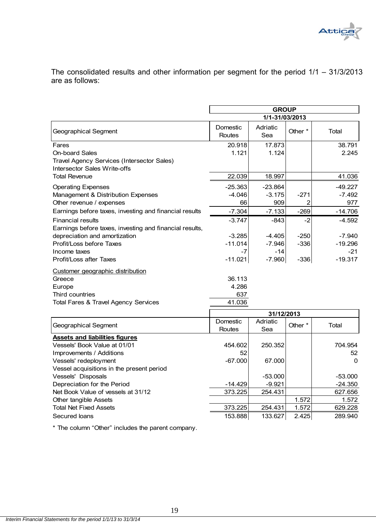

The consolidated results and other information per segment for the period 1/1 – 31/3/2013 are as follows:

|                                                                            | <b>GROUP</b>              |                     |         |                       |  |
|----------------------------------------------------------------------------|---------------------------|---------------------|---------|-----------------------|--|
|                                                                            | 1/1-31/03/2013            |                     |         |                       |  |
| Geographical Segment                                                       | Domestic<br><b>Routes</b> | Adriatic<br>Sea     | Other * | Total                 |  |
| Fares<br><b>On-board Sales</b>                                             | 20.918<br>1.121           | 17.873<br>1.124     |         | 38.791<br>2.245       |  |
| Travel Agency Services (Intersector Sales)<br>Intersector Sales Write-offs |                           |                     |         |                       |  |
| <b>Total Revenue</b>                                                       | 22.039                    | 18.997              |         | 41.036                |  |
| <b>Operating Expenses</b><br>Management & Distribution Expenses            | $-25.363$<br>$-4.046$     | $-23.864$<br>-3.175 | $-271$  | $-49.227$<br>$-7.492$ |  |
| Other revenue / expenses                                                   | 66                        | 909                 | 2       | 977                   |  |
| Earnings before taxes, investing and financial results                     | $-7.304$                  | $-7.133$            | $-269$  | $-14.706$             |  |
| <b>Financial results</b>                                                   | $-3.747$                  | $-843$              | -2      | $-4.592$              |  |
| Earnings before taxes, investing and financial results,                    |                           |                     |         |                       |  |
| depreciation and amortization                                              | $-3.285$                  | $-4.405$            | $-250$  | $-7.940$              |  |
| Profit/Loss before Taxes                                                   | $-11.014$                 | $-7.946$            | $-336$  | $-19.296$             |  |
| Income taxes                                                               | $-7$                      | $-14$               |         | $-21$                 |  |
| Profit/Loss after Taxes                                                    | $-11.021$                 | $-7.960$            | $-336$  | $-19.317$             |  |
| Customer geographic distribution                                           |                           |                     |         |                       |  |
| Greece                                                                     | 36.113                    |                     |         |                       |  |
| Europe                                                                     | 4.286                     |                     |         |                       |  |
| Third countries                                                            | 637                       |                     |         |                       |  |
| <b>Total Fares &amp; Travel Agency Services</b>                            | 41.036                    |                     |         |                       |  |
|                                                                            |                           | 31/12/2013          |         |                       |  |
| <b>Geographical Segment</b>                                                | Domestic                  | Adriatic            | Other * | Total                 |  |
|                                                                            | Routes                    | Sea                 |         |                       |  |
| <b>Assets and liabilities figures</b><br>Vessels' Book Value at 01/01      | 454.602                   | 250.352             |         | 704.954               |  |
| Improvements / Additions                                                   | 52                        |                     |         | 52                    |  |
| Vessels' redeployment                                                      | $-67.000$                 | 67.000              |         | $\Omega$              |  |
| Vessel acquisitions in the present period                                  |                           |                     |         |                       |  |
| Vessels' Disposals                                                         |                           | $-53.000$           |         | $-53.000$             |  |
| Depreciation for the Period                                                | $-14.429$                 | $-9.921$            |         | $-24.350$             |  |
| Net Book Value of vessels at 31/12                                         | 373.225                   | 254.431             |         | 627.656               |  |
| Other tangible Assets                                                      |                           |                     | 1.572   | 1.572                 |  |
| <b>Total Net Fixed Assets</b>                                              | 373.225                   | 254.431             | 1.572   | 629.228               |  |
| Secured loans                                                              | 153.888                   | 133.627             | 2.425   | 289.940               |  |

\* The column "Other" includes the parent company.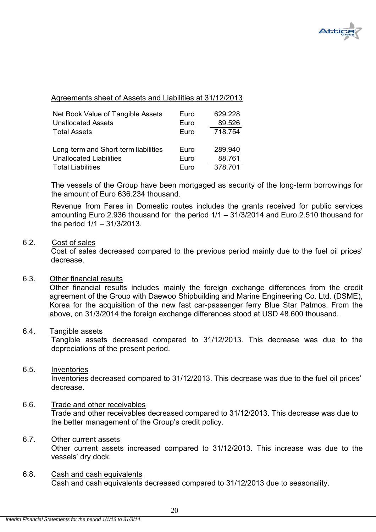

# Agreements sheet of Assets and Liabilities at 31/12/2013

| Net Book Value of Tangible Assets    | Euro | 629.228 |
|--------------------------------------|------|---------|
| <b>Unallocated Assets</b>            | Euro | 89.526  |
| <b>Total Assets</b>                  | Euro | 718.754 |
|                                      |      |         |
| Long-term and Short-term liabilities | Euro | 289.940 |
| <b>Unallocated Liabilities</b>       | Euro | 88.761  |
| <b>Total Liabilities</b>             | Euro | 378.701 |

The vessels of the Group have been mortgaged as security of the long-term borrowings for the amount of Euro 636.234 thousand.

Revenue from Fares in Domestic routes includes the grants received for public services amounting Euro 2.936 thousand for the period 1/1 – 31/3/2014 and Euro 2.510 thousand for the period 1/1 – 31/3/2013.

#### 6.2. Cost of sales

 Cost of sales decreased compared to the previous period mainly due to the fuel oil prices' decrease.

#### 6.3. Other financial results

Other financial results includes mainly the foreign exchange differences from the credit agreement of the Group with Daewoo Shipbuilding and Marine Engineering Co. Ltd. (DSME), Korea for the acquisition of the new fast car-passenger ferry Blue Star Patmos. From the above, on 31/3/2014 the foreign exchange differences stood at USD 48.600 thousand.

#### 6.4. Tangible assets

Tangible assets decreased compared to 31/12/2013. This decrease was due to the depreciations of the present period.

# 6.5. Inventories

Inventories decreased compared to 31/12/2013. This decrease was due to the fuel oil prices' decrease.

# 6.6. Trade and other receivables

Trade and other receivables decreased compared to 31/12/2013. This decrease was due to the better management of the Group's credit policy.

# 6.7. Other current assets

Other current assets increased compared to 31/12/2013. This increase was due to the vessels' dry dock.

6.8. Cash and cash equivalents Cash and cash equivalents decreased compared to 31/12/2013 due to seasonality.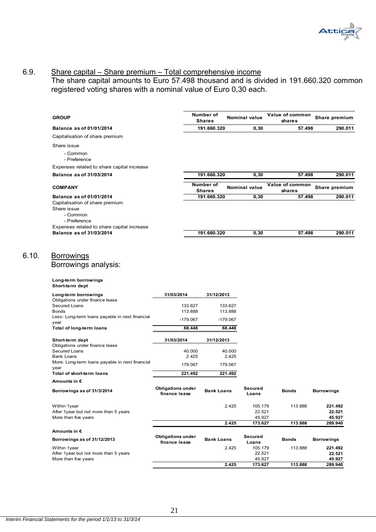

#### 6.9. Share capital – Share premium – Total comprehensive income

The share capital amounts to Euro 57.498 thousand and is divided in 191.660.320 common registered voting shares with a nominal value of Euro 0,30 each.

| <b>GROUP</b>                                                                                           |                                           |                    | Number of<br><b>Shares</b> |                    | <b>Nominal value</b>        | Value of common<br>shares | Share premium               |
|--------------------------------------------------------------------------------------------------------|-------------------------------------------|--------------------|----------------------------|--------------------|-----------------------------|---------------------------|-----------------------------|
| <b>Balance as of 01/01/2014</b>                                                                        |                                           |                    | 191.660.320                |                    | 0,30                        | 57.498                    | 290.011                     |
| Capitalisation of share premium                                                                        |                                           |                    |                            |                    |                             |                           |                             |
| Share issue                                                                                            |                                           |                    |                            |                    |                             |                           |                             |
| - Common<br>- Preference                                                                               |                                           |                    |                            |                    |                             |                           |                             |
| Expenses related to share capital increase                                                             |                                           |                    |                            |                    |                             |                           |                             |
| Balance as of 31/03/2014                                                                               |                                           |                    | 191.660.320                |                    | 0, 30                       | 57.498                    | 290.011                     |
| <b>COMPANY</b>                                                                                         |                                           |                    | Number of<br><b>Shares</b> |                    | Nominal value               | Value of common<br>shares | Share premium               |
| Balance as of 01/01/2014<br>Capitalisation of share premium<br>Share issue<br>- Common<br>- Preference |                                           |                    | 191.660.320                |                    | 0,30                        | 57.498                    | 290.011                     |
| Expenses related to share capital increase                                                             |                                           |                    |                            |                    |                             |                           |                             |
| Balance as of 31/03/2014                                                                               |                                           |                    | 191.660.320                |                    | 0, 30                       | 57.498                    | 290.011                     |
| <u>Borrowings</u><br>Borrowings analysis:<br>Long-term borrowings                                      |                                           |                    |                            |                    |                             |                           |                             |
| Short-term dept<br>Long-term borrowings                                                                | 31/03/2014                                |                    | 31/12/2013                 |                    |                             |                           |                             |
| Obligations under finance lease<br>Secured Loans                                                       |                                           |                    |                            |                    |                             |                           |                             |
| <b>Bonds</b>                                                                                           |                                           | 133.627<br>113.888 |                            | 133.627<br>113.888 |                             |                           |                             |
| Less: Long-term loans payable in next financial<br>year                                                |                                           | $-179.067$         |                            | $-179.067$         |                             |                           |                             |
| Total of long-term loans                                                                               |                                           | 68.448             |                            | 68.448             |                             |                           |                             |
| Short-term dept                                                                                        | 31/03/2014                                |                    | 31/12/2013                 |                    |                             |                           |                             |
| Obligations under finance lease<br>Secured Loans                                                       |                                           | 40.000             |                            | 40.000             |                             |                           |                             |
| <b>Bank Loans</b>                                                                                      |                                           | 2.425              |                            | 2.425              |                             |                           |                             |
| More: Long-term loans payable in next financial<br>year                                                |                                           | 179.067            |                            | 179.067            |                             |                           |                             |
| Total of short-term loans                                                                              |                                           | 221.492            |                            | 221.492            |                             |                           |                             |
| Amounts in €                                                                                           |                                           |                    |                            |                    |                             |                           |                             |
| Borrowings as of 31/3/2014                                                                             | <b>Obligations under</b><br>finance lease |                    | <b>Bank Loans</b>          |                    | Secured<br>Loans            | <b>Bonds</b>              | Borrowings                  |
| Within 1year<br>After 1year but not more than 5 years<br>More than five years                          |                                           |                    |                            | 2.425              | 105.179<br>22.521<br>45.927 | 113.888                   | 221.492<br>22.521<br>45.927 |
|                                                                                                        |                                           |                    |                            | 2.425              | 173.627                     | 113.888                   | 289.940                     |
| Amounts in €                                                                                           |                                           |                    |                            |                    | Secured                     |                           |                             |
| Borrowings as of 31/12/2013                                                                            | <b>Obligations under</b><br>finance lease |                    | <b>Bank Loans</b>          |                    | Loans                       | <b>Bonds</b>              | <b>Borrowings</b>           |
| Within 1year<br>After 1year but not more than 5 years                                                  |                                           |                    |                            | 2.425              | 105.179<br>22.521           | 113.888                   | 221.492<br>22.521           |
| More than five years                                                                                   |                                           |                    |                            |                    | 45.927                      |                           | 45.927                      |
|                                                                                                        |                                           |                    |                            | 2.425              | 173.627                     | 113.888                   | 289.940                     |

 $6.10.$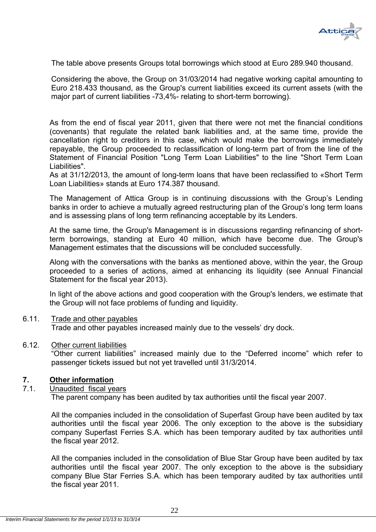

The table above presents Groups total borrowings which stood at Euro 289.940 thousand.

Considering the above, the Group on 31/03/2014 had negative working capital amounting to Euro 218.433 thousand, as the Group's current liabilities exceed its current assets (with the major part of current liabilities -73,4%- relating to short-term borrowing).

As from the end of fiscal year 2011, given that there were not met the financial conditions (covenants) that regulate the related bank liabilities and, at the same time, provide the cancellation right to creditors in this case, which would make the borrowings immediately repayable, the Group proceeded to reclassification of long-term part of from the line of the Statement of Financial Position "Long Term Loan Liabilities" to the line "Short Term Loan Liabilities".

As at 31/12/2013, the amount of long-term loans that have been reclassified to «Short Term Loan Liabilities» stands at Euro 174.387 thousand.

The Management of Attica Group is in continuing discussions with the Group's Lending banks in order to achieve a mutually agreed restructuring plan of the Group's long term loans and is assessing plans of long term refinancing acceptable by its Lenders.

At the same time, the Group's Management is in discussions regarding refinancing of shortterm borrowings, standing at Euro 40 million, which have become due. The Group's Management estimates that the discussions will be concluded successfully.

Along with the conversations with the banks as mentioned above, within the year, the Group proceeded to a series of actions, aimed at enhancing its liquidity (see Annual Financial Statement for the fiscal year 2013).

In light of the above actions and good cooperation with the Group's lenders, we estimate that the Group will not face problems of funding and liquidity.

### 6.11. Trade and other payables Trade and other payables increased mainly due to the vessels' dry dock.

#### 6.12. Other current liabilities

"Other current liabilities" increased mainly due to the "Deferred income" which refer to passenger tickets issued but not yet travelled until 31/3/2014.

# **7. Other information**

7.1. Unaudited fiscal years The parent company has been audited by tax authorities until the fiscal year 2007.

All the companies included in the consolidation of Superfast Group have been audited by tax authorities until the fiscal year 2006. The only exception to the above is the subsidiary company Superfast Ferries S.A. which has been temporary audited by tax authorities until the fiscal year 2012.

All the companies included in the consolidation of Blue Star Group have been audited by tax authorities until the fiscal year 2007. The only exception to the above is the subsidiary company Blue Star Ferries S.A. which has been temporary audited by tax authorities until the fiscal year 2011.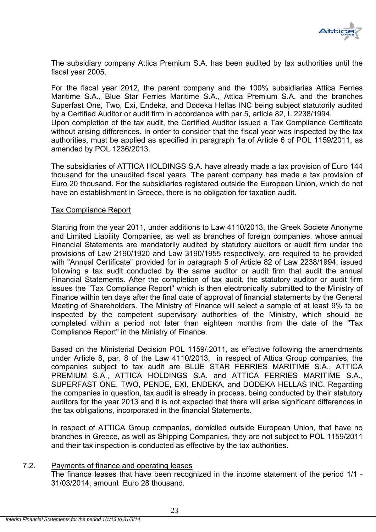

The subsidiary company Attica Premium S.A. has been audited by tax authorities until the fiscal year 2005.

For the fiscal year 2012, the parent company and the 100% subsidiaries Attica Ferries Maritime S.A., Blue Star Ferries Maritime S.A., Attica Premium S.A. and the branches Superfast One, Two, Exi, Endeka, and Dodeka Hellas INC being subject statutorily audited by a Certified Auditor or audit firm in accordance with par.5, article 82, L.2238/1994. Upon completion of the tax audit, the Certified Auditor issued a Tax Compliance Certificate without arising differences. In order to consider that the fiscal year was inspected by the tax authorities, must be applied as specified in paragraph 1a of Article 6 of POL 1159/2011, as amended by POL 1236/2013.

The subsidiaries of ATTICA HOLDINGS S.A. have already made a tax provision of Euro 144 thousand for the unaudited fiscal years. The parent company has made a tax provision of Euro 20 thousand. For the subsidiaries registered outside the European Union, which do not have an establishment in Greece, there is no obligation for taxation audit.

# Tax Compliance Report

Starting from the year 2011, under additions to Law 4110/2013, the Greek Societe Anonyme and Limited Liability Companies, as well as branches of foreign companies, whose annual Financial Statements are mandatorily audited by statutory auditors or audit firm under the provisions of Law 2190/1920 and Law 3190/1955 respectively, are required to be provided with "Annual Certificate" provided for in paragraph 5 of Article 82 of Law 2238/1994, issued following a tax audit conducted by the same auditor or audit firm that audit the annual Financial Statements. After the completion of tax audit, the statutory auditor or audit firm issues the "Tax Compliance Report" which is then electronically submitted to the Ministry of Finance within ten days after the final date of approval of financial statements by the General Meeting of Shareholders. The Ministry of Finance will select a sample of at least 9% to be inspected by the competent supervisory authorities of the Ministry, which should be completed within a period not later than eighteen months from the date of the "Tax Compliance Report" in the Ministry of Finance.

Based on the Ministerial Decision POL 1159/.2011, as effective following the amendments under Article 8, par. 8 of the Law 4110/2013, in respect of Attica Group companies, the companies subject to tax audit are BLUE STAR FERRIES MARITIME S.A., ATTICA PREMIUM S.A., ATTICA HOLDINGS S.A. and ATTICA FERRIES MARITIME S.A., SUPERFAST ONE, TWO, PENDE, EXI, ENDEKA, and DODEKA HELLAS INC. Regarding the companies in question, tax audit is already in process, being conducted by their statutory auditors for the year 2013 and it is not expected that there will arise significant differences in the tax obligations, incorporated in the financial Statements.

In respect of ATTICA Group companies, domiciled outside European Union, that have no branches in Greece, as well as Shipping Companies, they are not subject to POL 1159/2011 and their tax inspection is conducted as effective by the tax authorities.

# 7.2. Payments of finance and operating leases

The finance leases that have been recognized in the income statement of the period 1/1 - 31/03/2014, amount Euro 28 thousand.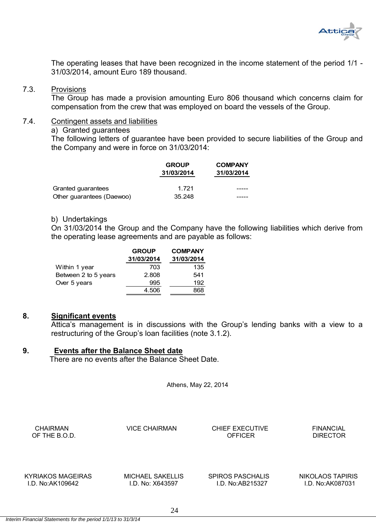

The operating leases that have been recognized in the income statement of the period 1/1 - 31/03/2014, amount Euro 189 thousand.

#### 7.3. Provisions

The Group has made a provision amounting Euro 806 thousand which concerns claim for compensation from the crew that was employed on board the vessels of the Group.

## 7.4. Contingent assets and liabilities

a) Granted guarantees

The following letters of guarantee have been provided to secure liabilities of the Group and the Company and were in force on 31/03/2014:

|                           | <b>GROUP</b><br>31/03/2014 | <b>COMPANY</b><br>31/03/2014 |
|---------------------------|----------------------------|------------------------------|
| Granted guarantees        | 1.721                      |                              |
| Other guarantees (Daewoo) | 35.248                     |                              |

#### b) Undertakings

On 31/03/2014 the Group and the Company have the following liabilities which derive from the operating lease agreements and are payable as follows:

|                      | <b>GROUP</b> | <b>COMPANY</b> |
|----------------------|--------------|----------------|
|                      | 31/03/2014   | 31/03/2014     |
| Within 1 year        | 703          | 135            |
| Between 2 to 5 years | 2.808        | 541            |
| Over 5 years         | 995          | 192            |
|                      | 4.506        | 868            |
|                      |              |                |

#### **8. Significant events**

Attica's management is in discussions with the Group's lending banks with a view to a restructuring of the Group's loan facilities (note 3.1.2).

# **9. Events after the Balance Sheet date**

There are no events after the Balance Sheet Date.

Athens, May 22, 2014

CHAIRMAN **VICE CHAIRMAN** CHIEF EXECUTIVE FINANCIAL OF THE B.O.D. CONTROLLER SERVICE OF THE B.O.D. OF THE B.O.D.

I.D. No:ΑΚ109642 I.D. No: Χ643597 I.D. No:ΑΒ215327 I.D. No:AK087031

KYRIAKOS MAGEIRAS MICHAEL SAKELLIS SPIROS PASCHALIS NIKOLAOS TAPIRIS